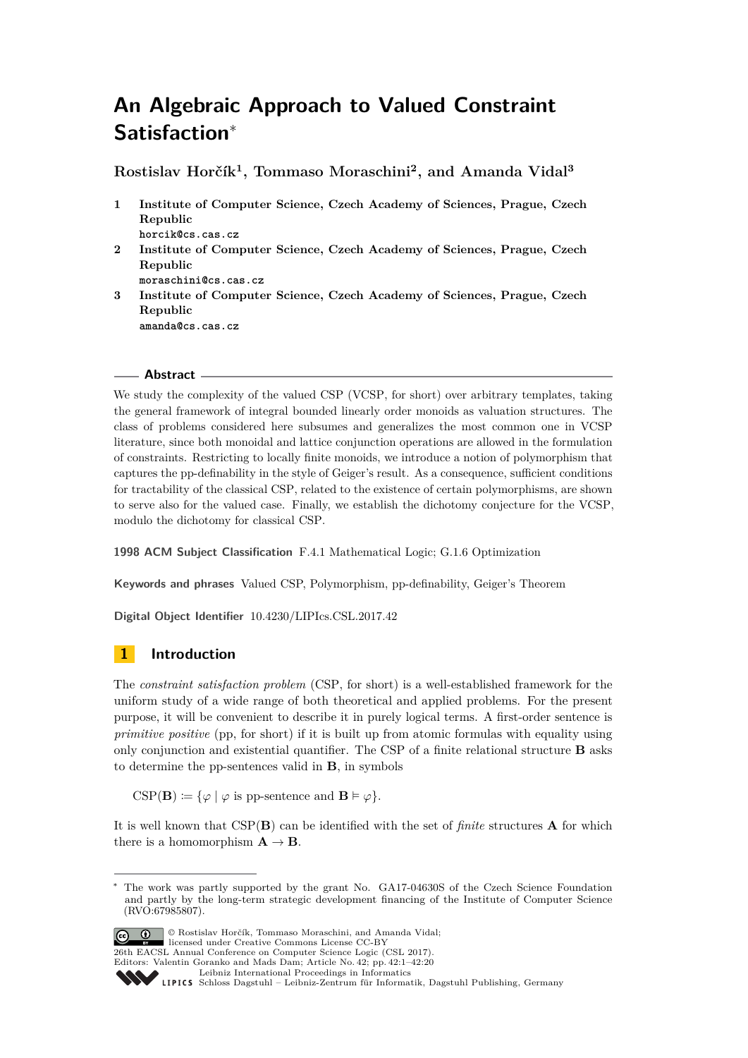# **An Algebraic Approach to Valued Constraint Satisfaction**<sup>∗</sup>

**Rostislav Horčík<sup>1</sup> , Tommaso Moraschini<sup>2</sup> , and Amanda Vidal<sup>3</sup>**

- **1 Institute of Computer Science, Czech Academy of Sciences, Prague, Czech Republic horcik@cs.cas.cz**
- **2 Institute of Computer Science, Czech Academy of Sciences, Prague, Czech Republic**
	- **moraschini@cs.cas.cz**
- **3 Institute of Computer Science, Czech Academy of Sciences, Prague, Czech Republic amanda@cs.cas.cz**

### **Abstract**

We study the complexity of the valued CSP (VCSP, for short) over arbitrary templates, taking the general framework of integral bounded linearly order monoids as valuation structures. The class of problems considered here subsumes and generalizes the most common one in VCSP literature, since both monoidal and lattice conjunction operations are allowed in the formulation of constraints. Restricting to locally finite monoids, we introduce a notion of polymorphism that captures the pp-definability in the style of Geiger's result. As a consequence, sufficient conditions for tractability of the classical CSP, related to the existence of certain polymorphisms, are shown to serve also for the valued case. Finally, we establish the dichotomy conjecture for the VCSP, modulo the dichotomy for classical CSP.

**1998 ACM Subject Classification** F.4.1 Mathematical Logic; G.1.6 Optimization

**Keywords and phrases** Valued CSP, Polymorphism, pp-definability, Geiger's Theorem

**Digital Object Identifier** [10.4230/LIPIcs.CSL.2017.42](http://dx.doi.org/10.4230/LIPIcs.CSL.2017.42)

## **1 Introduction**

The *constraint satisfaction problem* (CSP, for short) is a well-established framework for the uniform study of a wide range of both theoretical and applied problems. For the present purpose, it will be convenient to describe it in purely logical terms. A first-order sentence is *primitive positive* (pp, for short) if it is built up from atomic formulas with equality using only conjunction and existential quantifier. The CSP of a finite relational structure **B** asks to determine the pp-sentences valid in **B**, in symbols

 $CSP(\mathbf{B}) \coloneqq {\varphi \mid \varphi \text{ is pp-sentence and } \mathbf{B} \models \varphi}.$ 

It is well known that CSP(**B**) can be identified with the set of *finite* structures **A** for which there is a homomorphism  $A \rightarrow B$ .

The work was partly supported by the grant No. GA17-04630S of the Czech Science Foundation and partly by the long-term strategic development financing of the Institute of Computer Science (RVO:67985807).



© Rostislav Horčík, Tommaso Moraschini, and Amanda Vidal; licensed under Creative Commons License CC-BY 26th EACSL Annual Conference on Computer Science Logic (CSL 2017).

Editors: Valentin Goranko and Mads Dam; Article No. 42; pp. 42:1–42[:20](#page-19-0)

[Leibniz International Proceedings in Informatics](http://www.dagstuhl.de/lipics/)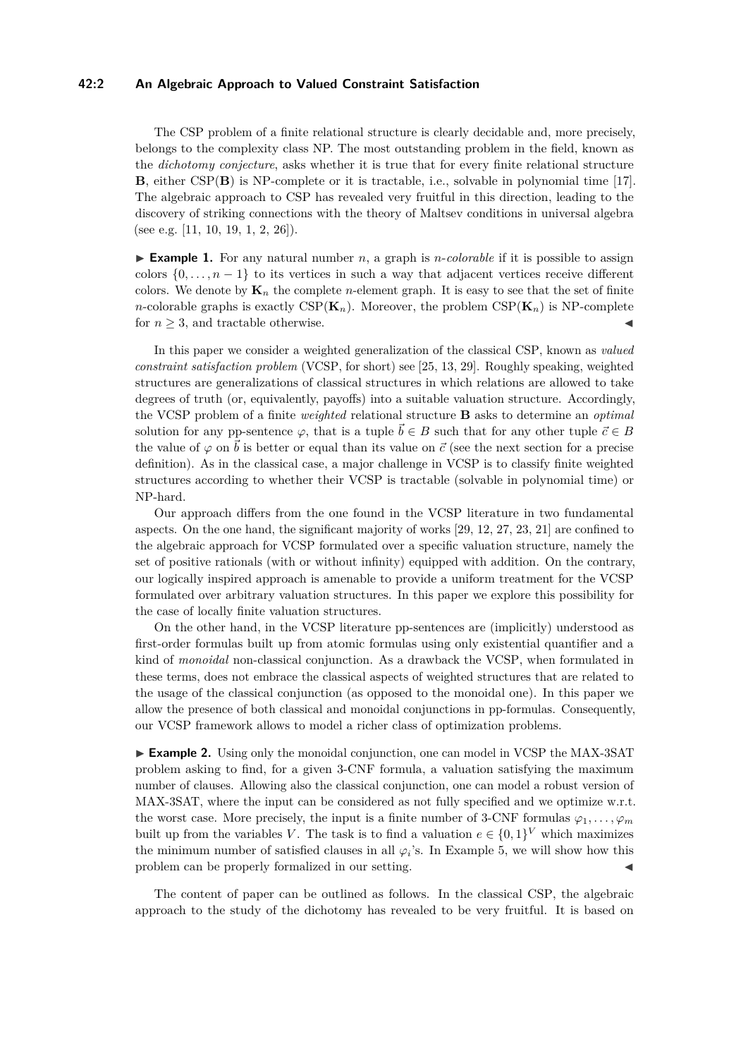### **42:2 An Algebraic Approach to Valued Constraint Satisfaction**

The CSP problem of a finite relational structure is clearly decidable and, more precisely, belongs to the complexity class NP. The most outstanding problem in the field, known as the *dichotomy conjecture*, asks whether it is true that for every finite relational structure **B**, either CSP(**B**) is NP-complete or it is tractable, i.e., solvable in polynomial time [\[17\]](#page-14-0). The algebraic approach to CSP has revealed very fruitful in this direction, leading to the discovery of striking connections with the theory of Maltsev conditions in universal algebra (see e.g. [\[11,](#page-13-0) [10,](#page-13-1) [19,](#page-14-1) [1,](#page-13-2) [2,](#page-13-3) [26\]](#page-14-2)).

► **Example 1.** For any natural number *n*, a graph is *n*-*colorable* if it is possible to assign colors  $\{0, \ldots, n-1\}$  to its vertices in such a way that adjacent vertices receive different colors. We denote by  $\mathbf{K}_n$  the complete *n*-element graph. It is easy to see that the set of finite *n*-colorable graphs is exactly  $CSP(K_n)$ . Moreover, the problem  $CSP(K_n)$  is NP-complete for  $n \geq 3$ , and tractable otherwise.

In this paper we consider a weighted generalization of the classical CSP, known as *valued constraint satisfaction problem* (VCSP, for short) see [\[25,](#page-14-3) [13,](#page-13-4) [29\]](#page-14-4). Roughly speaking, weighted structures are generalizations of classical structures in which relations are allowed to take degrees of truth (or, equivalently, payoffs) into a suitable valuation structure. Accordingly, the VCSP problem of a finite *weighted* relational structure **B** asks to determine an *optimal* solution for any pp-sentence  $\varphi$ , that is a tuple  $\vec{b} \in B$  such that for any other tuple  $\vec{c} \in B$ the value of  $\varphi$  on  $\vec{b}$  is better or equal than its value on  $\vec{c}$  (see the next section for a precise definition). As in the classical case, a major challenge in VCSP is to classify finite weighted structures according to whether their VCSP is tractable (solvable in polynomial time) or NP-hard.

Our approach differs from the one found in the VCSP literature in two fundamental aspects. On the one hand, the significant majority of works [\[29,](#page-14-4) [12,](#page-13-5) [27,](#page-14-5) [23,](#page-14-6) [21\]](#page-14-7) are confined to the algebraic approach for VCSP formulated over a specific valuation structure, namely the set of positive rationals (with or without infinity) equipped with addition. On the contrary, our logically inspired approach is amenable to provide a uniform treatment for the VCSP formulated over arbitrary valuation structures. In this paper we explore this possibility for the case of locally finite valuation structures.

On the other hand, in the VCSP literature pp-sentences are (implicitly) understood as first-order formulas built up from atomic formulas using only existential quantifier and a kind of *monoidal* non-classical conjunction. As a drawback the VCSP, when formulated in these terms, does not embrace the classical aspects of weighted structures that are related to the usage of the classical conjunction (as opposed to the monoidal one). In this paper we allow the presence of both classical and monoidal conjunctions in pp-formulas. Consequently, our VCSP framework allows to model a richer class of optimization problems.

► **Example 2.** Using only the monoidal conjunction, one can model in VCSP the MAX-3SAT problem asking to find, for a given 3-CNF formula, a valuation satisfying the maximum number of clauses. Allowing also the classical conjunction, one can model a robust version of MAX-3SAT, where the input can be considered as not fully specified and we optimize w.r.t. the worst case. More precisely, the input is a finite number of 3-CNF formulas  $\varphi_1, \ldots, \varphi_m$ built up from the variables *V*. The task is to find a valuation  $e \in \{0,1\}^V$  which maximizes the minimum number of satisfied clauses in all  $\varphi_i$ 's. In Example [5,](#page-4-0) we will show how this problem can be properly formalized in our setting.

The content of paper can be outlined as follows. In the classical CSP, the algebraic approach to the study of the dichotomy has revealed to be very fruitful. It is based on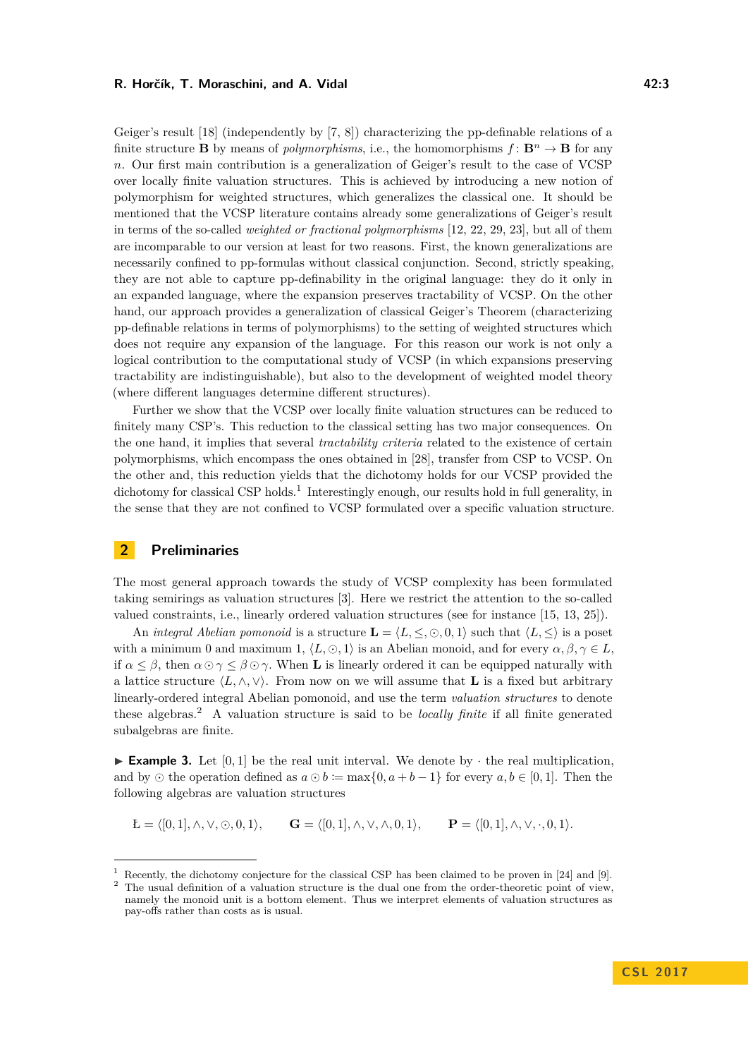Geiger's result [\[18\]](#page-14-8) (independently by [\[7,](#page-13-6) [8\]](#page-13-7)) characterizing the pp-definable relations of a finite structure **B** by means of *polymorphisms*, i.e., the homomorphisms  $f: \mathbf{B}^n \to \mathbf{B}$  for any *n*. Our first main contribution is a generalization of Geiger's result to the case of VCSP over locally finite valuation structures. This is achieved by introducing a new notion of polymorphism for weighted structures, which generalizes the classical one. It should be mentioned that the VCSP literature contains already some generalizations of Geiger's result in terms of the so-called *weighted or fractional polymorphisms* [\[12,](#page-13-5) [22,](#page-14-9) [29,](#page-14-4) [23\]](#page-14-6), but all of them are incomparable to our version at least for two reasons. First, the known generalizations are necessarily confined to pp-formulas without classical conjunction. Second, strictly speaking, they are not able to capture pp-definability in the original language: they do it only in an expanded language, where the expansion preserves tractability of VCSP. On the other hand, our approach provides a generalization of classical Geiger's Theorem (characterizing pp-definable relations in terms of polymorphisms) to the setting of weighted structures which does not require any expansion of the language. For this reason our work is not only a logical contribution to the computational study of VCSP (in which expansions preserving tractability are indistinguishable), but also to the development of weighted model theory (where different languages determine different structures).

Further we show that the VCSP over locally finite valuation structures can be reduced to finitely many CSP's. This reduction to the classical setting has two major consequences. On the one hand, it implies that several *tractability criteria* related to the existence of certain polymorphisms, which encompass the ones obtained in [\[28\]](#page-14-10), transfer from CSP to VCSP. On the other and, this reduction yields that the dichotomy holds for our VCSP provided the dichotomy for classical CSP holds.<sup>[1](#page-2-0)</sup> Interestingly enough, our results hold in full generality, in the sense that they are not confined to VCSP formulated over a specific valuation structure.

### **2 Preliminaries**

The most general approach towards the study of VCSP complexity has been formulated taking semirings as valuation structures [\[3\]](#page-13-8). Here we restrict the attention to the so-called valued constraints, i.e., linearly ordered valuation structures (see for instance [\[15,](#page-14-11) [13,](#page-13-4) [25\]](#page-14-3)).

An *integral Abelian pomonoid* is a structure  $\mathbf{L} = \langle L, \leq, \odot, 0, 1 \rangle$  such that  $\langle L, \leq \rangle$  is a poset with a minimum 0 and maximum 1,  $\langle L, \odot, 1 \rangle$  is an Abelian monoid, and for every  $\alpha, \beta, \gamma \in L$ . if  $\alpha \leq \beta$ , then  $\alpha \odot \gamma \leq \beta \odot \gamma$ . When **L** is linearly ordered it can be equipped naturally with a lattice structure  $\langle L, \wedge, \vee \rangle$ . From now on we will assume that **L** is a fixed but arbitrary linearly-ordered integral Abelian pomonoid, and use the term *valuation structures* to denote these algebras.[2](#page-2-1) A valuation structure is said to be *locally finite* if all finite generated subalgebras are finite.

<span id="page-2-2"></span>**Example 3.** Let  $[0,1]$  be the real unit interval. We denote by  $\cdot$  the real multiplication, and by  $\odot$  the operation defined as  $a \odot b := \max\{0, a+b-1\}$  for every  $a, b \in [0, 1]$ . Then the following algebras are valuation structures

$$
\mathbf{L} = \langle [0,1], \wedge, \vee, \odot, 0, 1 \rangle, \qquad \mathbf{G} = \langle [0,1], \wedge, \vee, \wedge, 0, 1 \rangle, \qquad \mathbf{P} = \langle [0,1], \wedge, \vee, \cdot, 0, 1 \rangle.
$$

<span id="page-2-1"></span><span id="page-2-0"></span><sup>&</sup>lt;sup>1</sup> Recently, the dichotomy conjecture for the classical CSP has been claimed to be proven in [\[24\]](#page-14-12) and [\[9\]](#page-13-9). <sup>2</sup> The usual definition of a valuation structure is the dual one from the order-theoretic point of view, namely the monoid unit is a bottom element. Thus we interpret elements of valuation structures as pay-offs rather than costs as is usual.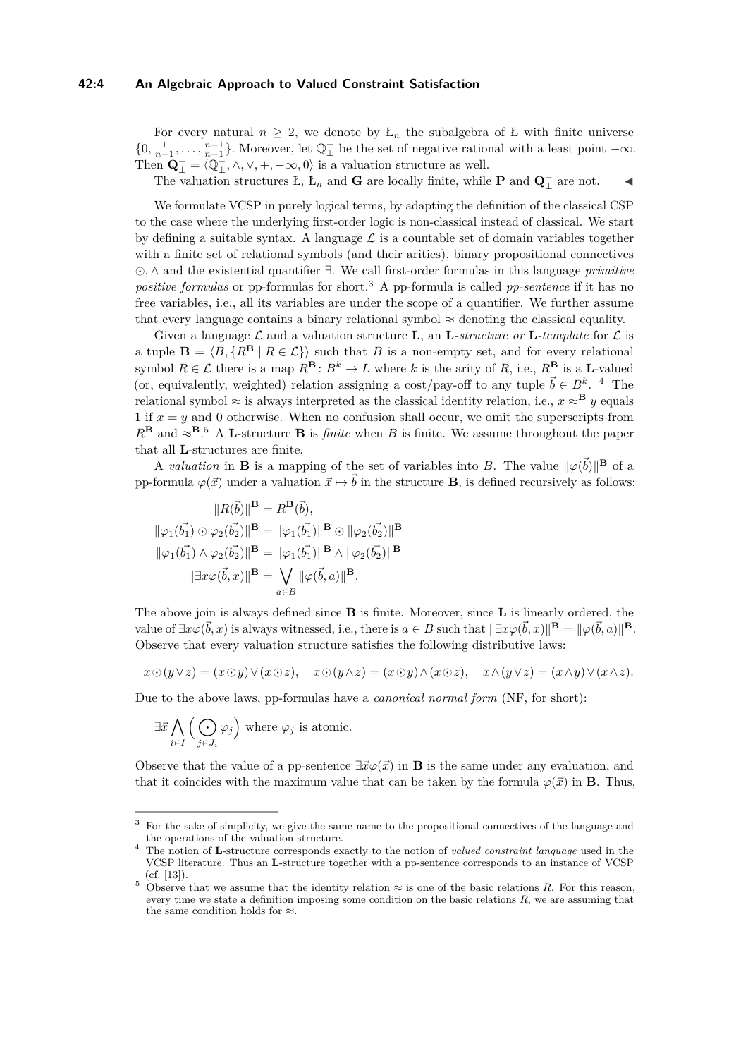### **42:4 An Algebraic Approach to Valued Constraint Satisfaction**

For every natural  $n \geq 2$ , we denote by  $L_n$  the subalgebra of L with finite universe  $\{0, \frac{1}{n-1}, \ldots, \frac{n-1}{n-1}\}.$  Moreover, let  $\mathbb{Q}^-_{\perp}$  be the set of negative rational with a least point  $-\infty$ . Then  $\mathbf{Q}^-_ \perp = \langle \mathbb{Q}^-_ \perp, \wedge, \vee, +, -\infty, 0 \rangle$  is a valuation structure as well.

The valuation structures Ł, Ł<sub>n</sub> and **G** are locally finite, while **P** and  $\mathbf{Q}^-$  are not.  $\blacksquare$ 

We formulate VCSP in purely logical terms, by adapting the definition of the classical CSP to the case where the underlying first-order logic is non-classical instead of classical. We start by defining a suitable syntax. A language  $\mathcal L$  is a countable set of domain variables together with a finite set of relational symbols (and their arities), binary propositional connectives *,* ∧ and the existential quantifier ∃. We call first-order formulas in this language *primitive positive formulas* or pp-formulas for short.<sup>[3](#page-3-0)</sup> A pp-formula is called *pp-sentence* if it has no free variables, i.e., all its variables are under the scope of a quantifier. We further assume that every language contains a binary relational symbol  $\approx$  denoting the classical equality.

Given a language  $\mathcal{L}$  and a valuation structure **L**, an **L**-structure or **L**-template for  $\mathcal{L}$  is a tuple  $\mathbf{B} = \langle B, \{R^{\mathbf{B}} \mid R \in \mathcal{L}\} \rangle$  such that *B* is a non-empty set, and for every relational symbol  $R \in \mathcal{L}$  there is a map  $R^{\mathbf{B}} \colon B^k \to L$  where *k* is the arity of *R*, i.e.,  $R^{\mathbf{B}}$  is a **L**-valued (or, equivalently, weighted) relation assigning a cost/pay-off to any tuple  $\vec{b} \in B^k$ . <sup>[4](#page-3-1)</sup> The relational symbol  $\approx$  is always interpreted as the classical identity relation, i.e.,  $x \approx B$  *y* equals 1 if  $x = y$  and 0 otherwise. When no confusion shall occur, we omit the superscripts from  $R^{\mathbf{B}}$  and  $\approx^{\mathbf{B}}$ .<sup>[5](#page-3-2)</sup> A **L**-structure **B** is *finite* when *B* is finite. We assume throughout the paper that all **L**-structures are finite.

A *valuation* in **B** is a mapping of the set of variables into *B*. The value  $\|\varphi(\vec{b})\|^{\mathbf{B}}$  of a pp-formula  $\varphi(\vec{x})$  under a valuation  $\vec{x} \mapsto \vec{b}$  in the structure **B**, is defined recursively as follows:

$$
||R(\vec{b})||^{\mathbf{B}} = R^{\mathbf{B}}(\vec{b}),
$$
  

$$
||\varphi_1(\vec{b_1}) \odot \varphi_2(\vec{b_2})||^{\mathbf{B}} = ||\varphi_1(\vec{b_1})||^{\mathbf{B}} \odot ||\varphi_2(\vec{b_2})||^{\mathbf{B}}
$$
  

$$
||\varphi_1(\vec{b_1}) \wedge \varphi_2(\vec{b_2})||^{\mathbf{B}} = ||\varphi_1(\vec{b_1})||^{\mathbf{B}} \wedge ||\varphi_2(\vec{b_2})||^{\mathbf{B}}
$$
  

$$
||\exists x \varphi(\vec{b}, x)||^{\mathbf{B}} = \bigvee_{a \in B} ||\varphi(\vec{b}, a)||^{\mathbf{B}}.
$$

The above join is always defined since **B** is finite. Moreover, since **L** is linearly ordered, the value of  $\exists x \varphi(\vec{b}, x)$  is always witnessed, i.e., there is  $a \in B$  such that  $\|\exists x \varphi(\vec{b}, x)\|^{\mathbf{B}} = \|\varphi(\vec{b}, a)\|^{\mathbf{B}}$ . Observe that every valuation structure satisfies the following distributive laws:

$$
x \odot (y \vee z) = (x \odot y) \vee (x \odot z), \quad x \odot (y \wedge z) = (x \odot y) \wedge (x \odot z), \quad x \wedge (y \vee z) = (x \wedge y) \vee (x \wedge z).
$$

Due to the above laws, pp-formulas have a *canonical normal form* (NF, for short):

$$
\exists \vec{x} \bigwedge_{i \in I} \Big( \bigodot_{j \in J_i} \varphi_j \Big) \text{ where } \varphi_j \text{ is atomic.}
$$

Observe that the value of a pp-sentence  $\exists \vec{x} \varphi(\vec{x})$  in **B** is the same under any evaluation, and that it coincides with the maximum value that can be taken by the formula  $\varphi(\vec{x})$  in **B**. Thus,

<span id="page-3-0"></span><sup>&</sup>lt;sup>3</sup> For the sake of simplicity, we give the same name to the propositional connectives of the language and the operations of the valuation structure.

<span id="page-3-1"></span><sup>&</sup>lt;sup>4</sup> The notion of **L**-structure corresponds exactly to the notion of *valued constraint language* used in the VCSP literature. Thus an **L**-structure together with a pp-sentence corresponds to an instance of VCSP (cf. [\[13\]](#page-13-4)).

<span id="page-3-2"></span><sup>&</sup>lt;sup>5</sup> Observe that we assume that the identity relation  $\approx$  is one of the basic relations *R*. For this reason, every time we state a definition imposing some condition on the basic relations *R*, we are assuming that the same condition holds for  $\approx$ .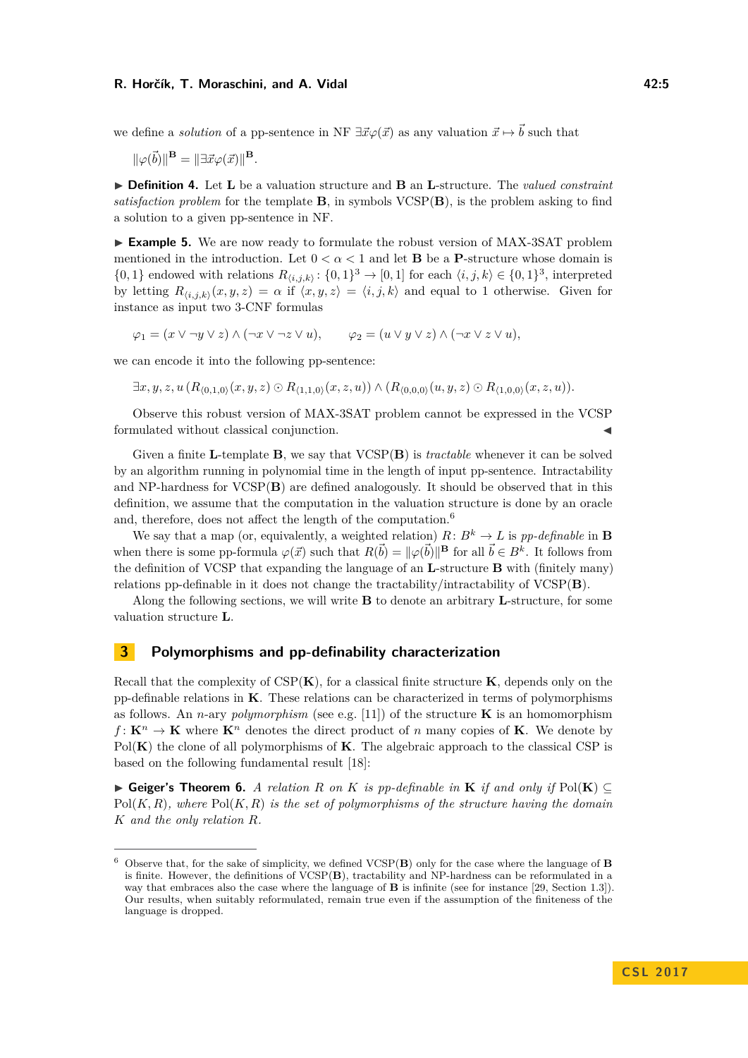#### **R. Horčík, T. Moraschini, and A. Vidal 42:5**

we define a *solution* of a pp-sentence in NF  $\exists \vec{x} \varphi(\vec{x})$  as any valuation  $\vec{x} \mapsto \vec{b}$  such that

 $\|\varphi(\vec{b})\|^{\mathbf{B}} = \|\exists \vec{x} \varphi(\vec{x})\|^{\mathbf{B}}.$ 

I **Definition 4.** Let **L** be a valuation structure and **B** an **L**-structure. The *valued constraint satisfaction problem* for the template **B**, in symbols  $VCSP(B)$ , is the problem asking to find a solution to a given pp-sentence in NF.

<span id="page-4-0"></span>► **Example 5.** We are now ready to formulate the robust version of MAX-3SAT problem mentioned in the introduction. Let  $0 < \alpha < 1$  and let **B** be a **P**-structure whose domain is  $\{0,1\}$  endowed with relations  $R_{\langle i,j,k \rangle} : \{0,1\}^3 \to [0,1]$  for each  $\langle i,j,k \rangle \in \{0,1\}^3$ , interpreted by letting  $R_{\langle i,j,k \rangle}(x,y,z) = \alpha$  if  $\langle x,y,z \rangle = \langle i,j,k \rangle$  and equal to 1 otherwise. Given for instance as input two 3-CNF formulas

 $\varphi_1 = (x \vee \neg y \vee z) \wedge (\neg x \vee \neg z \vee u), \qquad \varphi_2 = (u \vee y \vee z) \wedge (\neg x \vee z \vee u),$ 

we can encode it into the following pp-sentence:

 $\exists x, y, z, u \ (R_{(0,1,0)}(x,y,z) \odot R_{(1,1,0)}(x,z,u)) \wedge (R_{(0,0,0)}(u,y,z) \odot R_{(1,0,0)}(x,z,u)).$ 

Observe this robust version of MAX-3SAT problem cannot be expressed in the VCSP formulated without classical conjunction.

Given a finite **L**-template **B**, we say that VCSP(**B**) is *tractable* whenever it can be solved by an algorithm running in polynomial time in the length of input pp-sentence. Intractability and NP-hardness for VCSP(**B**) are defined analogously. It should be observed that in this definition, we assume that the computation in the valuation structure is done by an oracle and, therefore, does not affect the length of the computation.<sup>[6](#page-4-1)</sup>

We say that a map (or, equivalently, a weighted relation)  $R: B^k \to L$  is pp-definable in **B** when there is some pp-formula  $\varphi(\vec{x})$  such that  $R(\vec{b}) = ||\varphi(\vec{b})||^{\mathbf{B}}$  for all  $\vec{b} \in B^k$ . It follows from the definition of VCSP that expanding the language of an **L**-structure **B** with (finitely many) relations pp-definable in it does not change the tractability/intractability of VCSP(**B**).

Along the following sections, we will write **B** to denote an arbitrary **L**-structure, for some valuation structure **L**.

### <span id="page-4-2"></span>**3 Polymorphisms and pp-definability characterization**

Recall that the complexity of CSP(**K**), for a classical finite structure **K**, depends only on the pp-definable relations in **K**. These relations can be characterized in terms of polymorphisms as follows. An *n*-ary *polymorphism* (see e.g. [\[11\]](#page-13-0)) of the structure **K** is an homomorphism  $f: \mathbf{K}^n \to \mathbf{K}$  where  $\mathbf{K}^n$  denotes the direct product of *n* many copies of **K**. We denote by Pol(**K**) the clone of all polymorphisms of **K**. The algebraic approach to the classical CSP is based on the following fundamental result [\[18\]](#page-14-8):

**► Geiger's Theorem 6.** *A relation R on K is pp-definable in* **K** *if and only if*  $Pol(K)$ Pol(*K, R*)*, where* Pol(*K, R*) *is the set of polymorphisms of the structure having the domain K and the only relation R.*

<span id="page-4-1"></span><sup>6</sup> Observe that, for the sake of simplicity, we defined VCSP(**B**) only for the case where the language of **B** is finite. However, the definitions of VCSP(**B**), tractability and NP-hardness can be reformulated in a way that embraces also the case where the language of **B** is infinite (see for instance [\[29,](#page-14-4) Section 1.3]). Our results, when suitably reformulated, remain true even if the assumption of the finiteness of the language is dropped.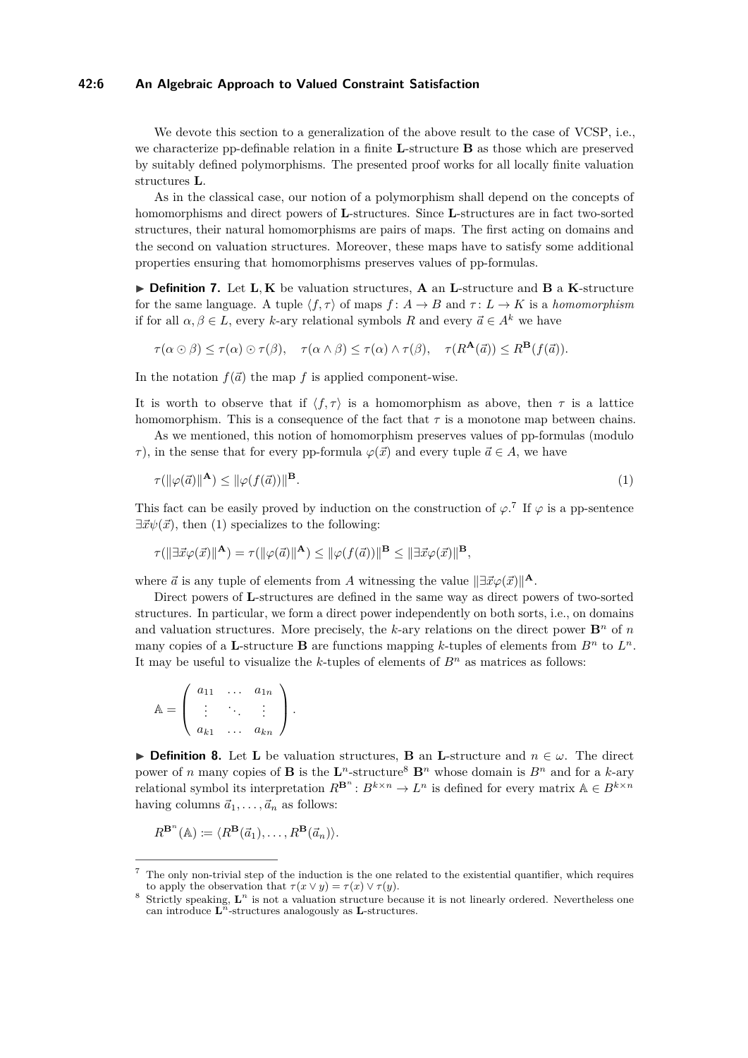### **42:6 An Algebraic Approach to Valued Constraint Satisfaction**

We devote this section to a generalization of the above result to the case of VCSP, i.e., we characterize pp-definable relation in a finite **L**-structure **B** as those which are preserved by suitably defined polymorphisms. The presented proof works for all locally finite valuation structures **L**.

As in the classical case, our notion of a polymorphism shall depend on the concepts of homomorphisms and direct powers of **L**-structures. Since **L**-structures are in fact two-sorted structures, their natural homomorphisms are pairs of maps. The first acting on domains and the second on valuation structures. Moreover, these maps have to satisfy some additional properties ensuring that homomorphisms preserves values of pp-formulas.

I **Definition 7.** Let **L***,* **K** be valuation structures, **A** an **L**-structure and **B** a **K**-structure for the same language. A tuple  $\langle f, \tau \rangle$  of maps  $f: A \to B$  and  $\tau: L \to K$  is a *homomorphism* if for all  $\alpha, \beta \in L$ , every *k*-ary relational symbols *R* and every  $\vec{a} \in A^k$  we have

$$
\tau(\alpha \odot \beta) \leq \tau(\alpha) \odot \tau(\beta), \quad \tau(\alpha \wedge \beta) \leq \tau(\alpha) \wedge \tau(\beta), \quad \tau(R^{\mathbf{A}}(\vec{a})) \leq R^{\mathbf{B}}(f(\vec{a})).
$$

In the notation  $f(\vec{a})$  the map *f* is applied component-wise.

It is worth to observe that if  $\langle f, \tau \rangle$  is a homomorphism as above, then  $\tau$  is a lattice homomorphism. This is a consequence of the fact that  $\tau$  is a monotone map between chains.

As we mentioned, this notion of homomorphism preserves values of pp-formulas (modulo *τ*), in the sense that for every pp-formula  $\varphi(\vec{x})$  and every tuple  $\vec{a} \in A$ , we have

<span id="page-5-1"></span>
$$
\tau(\|\varphi(\vec{a})\|^{\mathbf{A}}) \le \|\varphi(f(\vec{a}))\|^{\mathbf{B}}.\tag{1}
$$

This fact can be easily proved by induction on the construction of  $\varphi$ <sup>[7](#page-5-0)</sup>. If  $\varphi$  is a pp-sentence  $\exists \vec{x} \psi(\vec{x})$ , then [\(1\)](#page-5-1) specializes to the following:

$$
\tau(\|\exists \vec{x} \varphi(\vec{x})\|^{\mathbf{A}}) = \tau(\|\varphi(\vec{a})\|^{\mathbf{A}}) \le \|\varphi(f(\vec{a}))\|^{\mathbf{B}} \le \|\exists \vec{x} \varphi(\vec{x})\|^{\mathbf{B}},
$$

where  $\vec{a}$  is any tuple of elements from *A* witnessing the value  $\|\exists \vec{x} \varphi(\vec{x})\|^{\mathbf{A}}$ .

Direct powers of **L**-structures are defined in the same way as direct powers of two-sorted structures. In particular, we form a direct power independently on both sorts, i.e., on domains and valuation structures. More precisely, the *k*-ary relations on the direct power  $\mathbf{B}^n$  of *n* many copies of a **L**-structure **B** are functions mapping *k*-tuples of elements from  $B^n$  to  $L^n$ . It may be useful to visualize the *k*-tuples of elements of *B<sup>n</sup>* as matrices as follows:

$$
\mathbb{A} = \left( \begin{array}{ccc} a_{11} & \dots & a_{1n} \\ \vdots & \ddots & \vdots \\ a_{k1} & \dots & a_{kn} \end{array} \right).
$$

**► Definition 8.** Let **L** be valuation structures, **B** an **L**-structure and  $n \in \omega$ . The direct power of *n* many copies of **B** is the  $\mathbf{L}^n$ -structure<sup>[8](#page-5-2)</sup>  $\mathbf{B}^n$  whose domain is  $B^n$  and for a *k*-ary relational symbol its interpretation  $R^{B^n}: B^{k \times n} \to L^n$  is defined for every matrix  $A \in B^{k \times n}$ having columns  $\vec{a}_1, \ldots, \vec{a}_n$  as follows:

$$
R^{\mathbf{B}^n}(\mathbb{A}) \coloneqq \langle R^{\mathbf{B}}(\vec{a}_1), \ldots, R^{\mathbf{B}}(\vec{a}_n) \rangle.
$$

<span id="page-5-0"></span><sup>7</sup> The only non-trivial step of the induction is the one related to the existential quantifier, which requires to apply the observation that  $\tau(x \vee y) = \tau(x) \vee \tau(y)$ .

<span id="page-5-2"></span><sup>&</sup>lt;sup>8</sup> Strictly speaking,  $\mathbf{L}^n$  is not a valuation structure because it is not linearly ordered. Nevertheless one can introduce  $\mathbf{L}^n$ -structures analogously as  $\mathbf{L}$ -structures.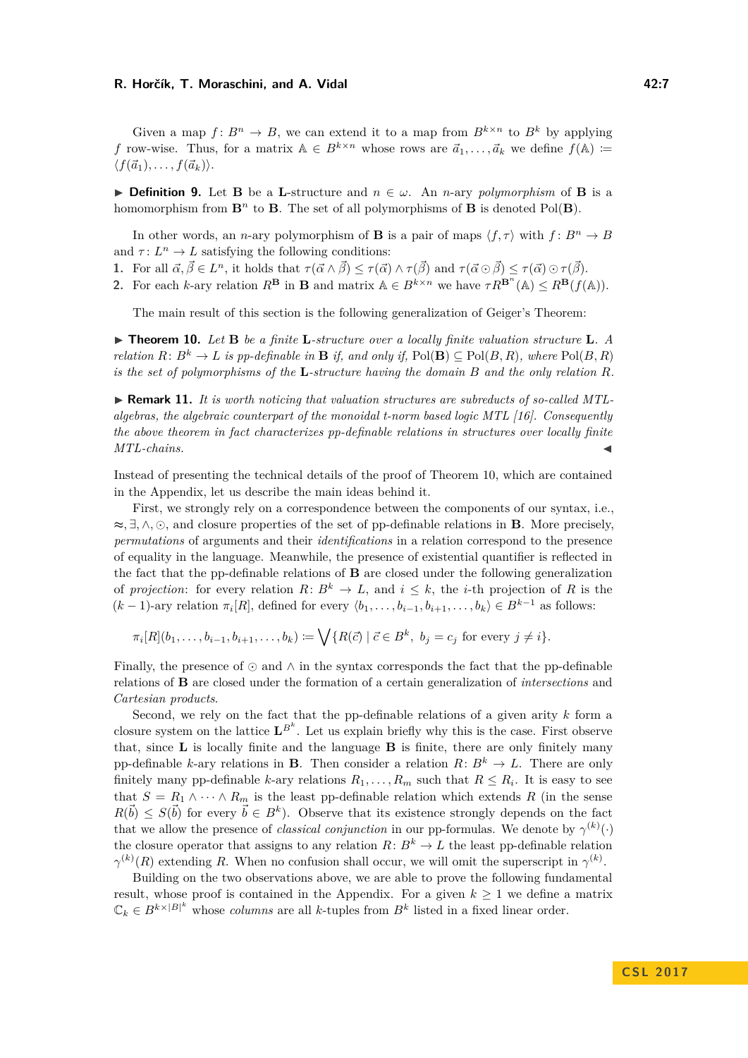#### **R. Horčík, T. Moraschini, and A. Vidal 42:7**

Given a map  $f: B^n \to B$ , we can extend it to a map from  $B^{k \times n}$  to  $B^k$  by applying *f* row-wise. Thus, for a matrix  $A \in B^{k \times n}$  whose rows are  $\vec{a}_1, \ldots, \vec{a}_k$  we define  $f(A) \coloneqq$  $\langle f(\vec{a}_1), \ldots, f(\vec{a}_k) \rangle$ .

**► Definition 9.** Let **B** be a **L**-structure and  $n \in \omega$ . An *n*-ary *polymorphism* of **B** is a homomorphism from  $\mathbf{B}^n$  to **B**. The set of all polymorphisms of **B** is denoted Pol(**B**).

In other words, an *n*-ary polymorphism of **B** is a pair of maps  $\langle f, \tau \rangle$  with  $f: B^n \to B$ and  $\tau: L^n \to L$  satisfying the following conditions:

**1.** For all  $\vec{\alpha}, \vec{\beta} \in L^n$ , it holds that  $\tau(\vec{\alpha} \wedge \vec{\beta}) \leq \tau(\vec{\alpha}) \wedge \tau(\vec{\beta})$  and  $\tau(\vec{\alpha} \odot \vec{\beta}) \leq \tau(\vec{\alpha}) \odot \tau(\vec{\beta})$ .

**2.** For each *k*-ary relation  $R^{\mathbf{B}}$  in **B** and matrix  $A \in B^{k \times n}$  we have  $\tau R^{\mathbf{B}^n}(\mathbb{A}) \leq R^{\mathbf{B}}(f(\mathbb{A}))$ .

The main result of this section is the following generalization of Geiger's Theorem:

<span id="page-6-0"></span>I **Theorem 10.** *Let* **B** *be a finite* **L***-structure over a locally finite valuation structure* **L***. A relation*  $R: B^k \to L$  *is pp-definable in* **B** *if, and only if,*  $Pol(B) \subseteq Pol(B, R)$ *, where*  $Pol(B, R)$ *is the set of polymorphisms of the* **L***-structure having the domain B and the only relation R.*

▶ **Remark 11.** *It is worth noticing that valuation structures are subreducts of so-called MTLalgebras, the algebraic counterpart of the monoidal t-norm based logic MTL [\[16\]](#page-14-13). Consequently the above theorem in fact characterizes pp-definable relations in structures over locally finite*  $MTL$ -chains.

Instead of presenting the technical details of the proof of Theorem [10,](#page-6-0) which are contained in the Appendix, let us describe the main ideas behind it.

First, we strongly rely on a correspondence between the components of our syntax, i.e., ≈*,* ∃*,* ∧*,* , and closure properties of the set of pp-definable relations in **B**. More precisely, *permutations* of arguments and their *identifications* in a relation correspond to the presence of equality in the language. Meanwhile, the presence of existential quantifier is reflected in the fact that the pp-definable relations of **B** are closed under the following generalization of *projection*: for every relation  $R: B^k \to L$ , and  $i \leq k$ , the *i*-th projection of R is the  $(k-1)$ -ary relation  $\pi_i[R]$ , defined for every  $\langle b_1, \ldots, b_{i-1}, b_{i+1}, \ldots, b_k \rangle \in B^{k-1}$  as follows:

 $\pi_i[R](b_1,\ldots,b_{i-1},b_{i+1},\ldots,b_k) \coloneqq \bigvee \{R(\vec{c}) \mid \vec{c} \in B^k, b_j = c_j \text{ for every } j \neq i\}.$ 

Finally, the presence of  $\odot$  and  $\wedge$  in the syntax corresponds the fact that the pp-definable relations of **B** are closed under the formation of a certain generalization of *intersections* and *Cartesian products*.

Second, we rely on the fact that the pp-definable relations of a given arity *k* form a closure system on the lattice  $L^{B^k}$ . Let us explain briefly why this is the case. First observe that, since **L** is locally finite and the language **B** is finite, there are only finitely many pp-definable *k*-ary relations in **B**. Then consider a relation  $R: B^k \to L$ . There are only finitely many pp-definable *k*-ary relations  $R_1, \ldots, R_m$  such that  $R \leq R_i$ . It is easy to see that  $S = R_1 \wedge \cdots \wedge R_m$  is the least pp-definable relation which extends R (in the sense  $R(\vec{b}) \leq S(\vec{b})$  for every  $\vec{b} \in B^k$ ). Observe that its existence strongly depends on the fact that we allow the presence of *classical conjunction* in our pp-formulas. We denote by  $\gamma^{(k)}(\cdot)$ the closure operator that assigns to any relation  $R: B^k \to L$  the least pp-definable relation  $\gamma^{(k)}(R)$  extending *R*. When no confusion shall occur, we will omit the superscript in  $\gamma^{(k)}$ .

Building on the two observations above, we are able to prove the following fundamental result, whose proof is contained in the Appendix. For a given  $k \geq 1$  we define a matrix  $\mathbb{C}_k \in B^{k \times |B|^k}$  whose *columns* are all *k*-tuples from  $B^k$  listed in a fixed linear order.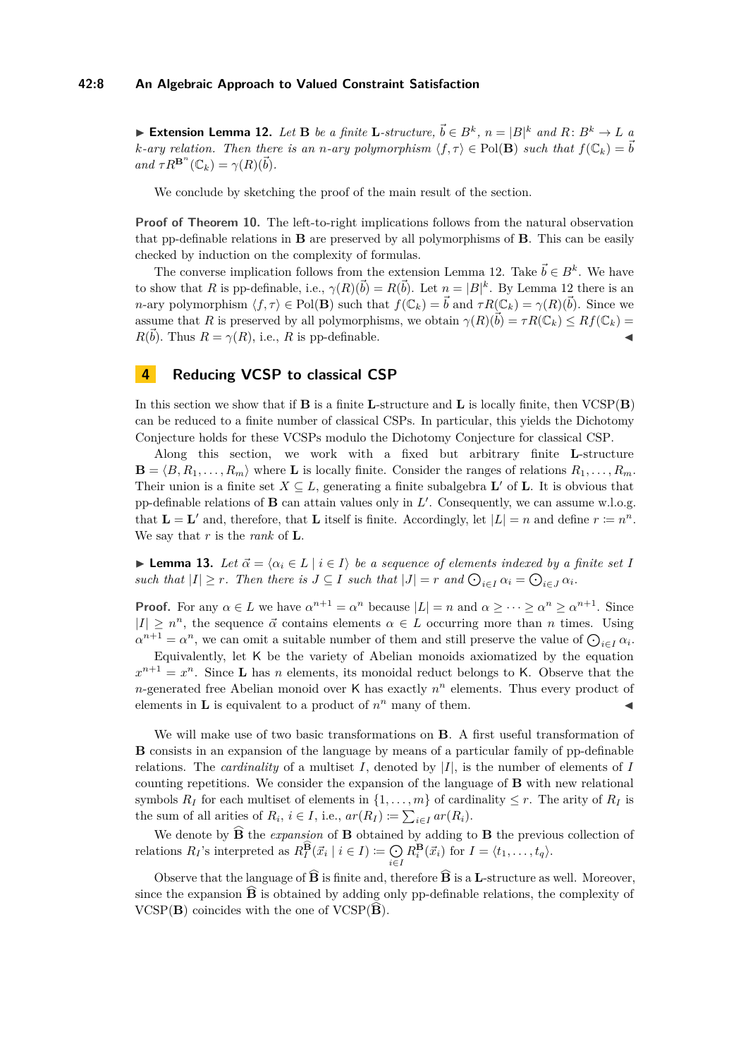<span id="page-7-0"></span>▶ **Extension Lemma 12.** Let **B** be a finite **L**-structure,  $\vec{b} \in B^k$ ,  $n = |B|^k$  and  $R: B^k \to L$  a *k*-*ary relation. Then there is an <i>n*-*ary polymorphism*  $\langle f, \tau \rangle \in Pol(B)$  *such that*  $f(\mathbb{C}_k) = \vec{b}$  $and \tau R^{B^n}(\mathbb{C}_k) = \gamma(R)(\vec{b}).$ 

We conclude by sketching the proof of the main result of the section.

**Proof of Theorem [10.](#page-6-0)** The left-to-right implications follows from the natural observation that pp-definable relations in **B** are preserved by all polymorphisms of **B**. This can be easily checked by induction on the complexity of formulas.

The converse implication follows from the extension Lemma [12.](#page-7-0) Take  $\vec{b} \in B^k$ . We have to show that *R* is pp-definable, i.e.,  $\gamma(R)(\vec{b}) = R(\vec{b})$ . Let  $n = |B|^k$ . By Lemma [12](#page-7-0) there is an *n*-ary polymorphism  $\langle f, \tau \rangle \in Pol(\mathbf{B})$  such that  $f(\mathbb{C}_k) = \vec{b}$  and  $\tau R(\mathbb{C}_k) = \gamma(R)(\vec{b})$ . Since we assume that *R* is preserved by all polymorphisms, we obtain  $\gamma(R)(\vec{b}) = \tau R(\mathbb{C}_k) \leq Rf(\mathbb{C}_k)$  $R(\vec{b})$ . Thus  $R = \gamma(R)$ , i.e., *R* is pp-definable.

### **4 Reducing VCSP to classical CSP**

In this section we show that if **B** is a finite **L**-structure and **L** is locally finite, then VCSP(**B**) can be reduced to a finite number of classical CSPs. In particular, this yields the Dichotomy Conjecture holds for these VCSPs modulo the Dichotomy Conjecture for classical CSP.

Along this section, we work with a fixed but arbitrary finite **L**-structure  $\mathbf{B} = \langle B, R_1, \ldots, R_m \rangle$  where **L** is locally finite. Consider the ranges of relations  $R_1, \ldots, R_m$ . Their union is a finite set  $X \subseteq L$ , generating a finite subalgebra  $\mathbf{L}'$  of  $\mathbf{L}$ . It is obvious that pp-definable relations of  $\bf{B}$  can attain values only in  $L'$ . Consequently, we can assume w.l.o.g. that  $\mathbf{L} = \mathbf{L}'$  and, therefore, that  $\mathbf{L}$  itself is finite. Accordingly, let  $|L| = n$  and define  $r \coloneqq n^n$ . We say that *r* is the *rank* of **L**.

<span id="page-7-1"></span>► Lemma 13. Let  $\vec{\alpha} = \langle \alpha_i \in L \mid i \in I \rangle$  be a sequence of elements indexed by a finite set *I such that*  $|I| \geq r$ *. Then there is*  $J \subseteq I$  *such that*  $|J| = r$  *and*  $\bigodot_{i \in I} \alpha_i = \bigodot_{i \in J} \alpha_i$ *.* 

**Proof.** For any  $\alpha \in L$  we have  $\alpha^{n+1} = \alpha^n$  because  $|L| = n$  and  $\alpha \geq \cdots \geq \alpha^n \geq \alpha^{n+1}$ . Since  $|I| \geq n^n$ , the sequence  $\vec{\alpha}$  contains elements  $\alpha \in L$  occurring more than *n* times. Using  $\alpha^{n+1} = \alpha^n$ , we can omit a suitable number of them and still preserve the value of  $\bigodot_{i \in I} \alpha_i$ .

Equivalently, let K be the variety of Abelian monoids axiomatized by the equation  $x^{n+1} = x^n$ . Since **L** has *n* elements, its monoidal reduct belongs to K. Observe that the *n*-generated free Abelian monoid over K has exactly *n <sup>n</sup>* elements. Thus every product of elements in **L** is equivalent to a product of  $n^n$  many of them.

We will make use of two basic transformations on **B**. A first useful transformation of **B** consists in an expansion of the language by means of a particular family of pp-definable relations. The *cardinality* of a multiset *I*, denoted by |*I*|, is the number of elements of *I* counting repetitions. We consider the expansion of the language of **B** with new relational symbols  $R_I$  for each multiset of elements in  $\{1, \ldots, m\}$  of cardinality  $\leq r$ . The arity of  $R_I$  is the sum of all arities of  $R_i$ ,  $i \in I$ , i.e.,  $ar(R_I) \coloneqq \sum_{i \in I} ar(R_i)$ .

We denote by  $\widehat{B}$  the *expansion* of **B** obtained by adding to **B** the previous collection of relations  $R_I$ 's interpreted as  $R_I^{\widehat{\mathbf{B}}}(\vec{x}_i \mid i \in I) \coloneqq \bigcirc$ *i*∈*I*  $R_i^{\mathbf{B}}(\vec{x}_i)$  for  $I = \langle t_1, \ldots, t_q \rangle$ .

Observe that the language of  $\widehat{B}$  is finite and, therefore  $\widehat{B}$  is a **L**-structure as well. Moreover, since the expansion  $\widehat{B}$  is obtained by adding only pp-definable relations, the complexity of VCSP( $\mathbf{B}$ ) coincides with the one of VCSP( $\widehat{\mathbf{B}}$ ).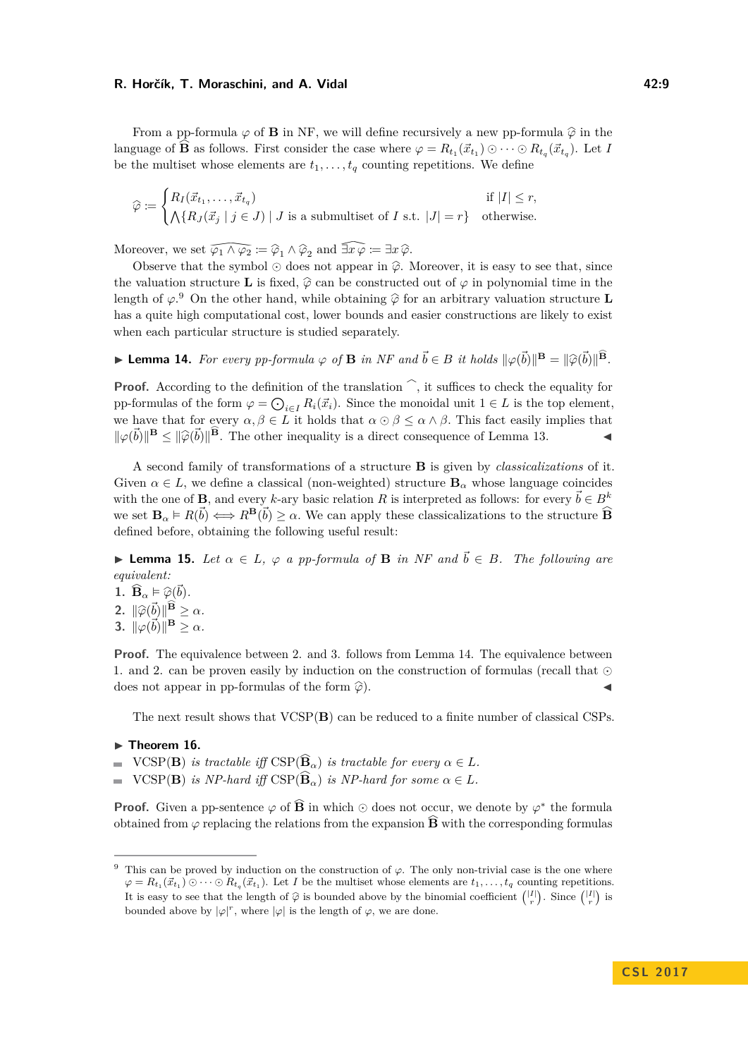#### **R. Horčík, T. Moraschini, and A. Vidal 42:9**

From a pp-formula  $\varphi$  of **B** in NF, we will define recursively a new pp-formula  $\hat{\varphi}$  in the language of  $\widehat{B}$  as follows. First consider the case where  $\varphi = R_{t_1}(\vec{x}_{t_1}) \odot \cdots \odot R_{t_q}(\vec{x}_{t_q})$ . Let *I* be the multiset whose elements are  $t_1, \ldots, t_q$  counting repetitions. We define

$$
\widehat{\varphi} := \begin{cases} R_I(\vec{x}_{t_1}, \dots, \vec{x}_{t_q}) & \text{if } |I| \le r, \\ \bigwedge \{ R_J(\vec{x}_j \mid j \in J) \mid J \text{ is a submultiset of } I \text{ s.t. } |J| = r \} & \text{otherwise.} \end{cases}
$$

Moreover, we set  $\widehat{\varphi_1 \wedge \varphi_2} := \widehat{\varphi}_1 \wedge \widehat{\varphi}_2$  and  $\widehat{\exists x \varphi} := \exists x \, \widehat{\varphi}$ .<br>Observe that the symbol  $\odot$  does not appear in  $\widehat{\varphi}$ . Ithe valuation structure **L** is fixed,  $\widehat{\varphi}$  can be constructed Observe that the symbol  $\odot$  does not appear in  $\hat{\varphi}$ . Moreover, it is easy to see that, since the valuation structure **L** is fixed,  $\hat{\varphi}$  can be constructed out of  $\varphi$  in polynomial time in the length of  $\varphi$ <sup>[9](#page-8-0)</sup>. On the other hand, while obtaining  $\hat{\varphi}$  for an arbitrary valuation structure **L** has a quite high computational cost, lower bounds and easier constructions are likely to exist when each particular structure is studied separately.

<span id="page-8-1"></span>**► Lemma 14.** For every pp-formula  $\varphi$  of **B** in NF and  $\vec{b} \in B$  it holds  $\|\varphi(\vec{b})\|^{\mathbf{B}} = \|\widehat{\varphi}(\vec{b})\|^{\mathbf{B}}$ .

**Proof.** According to the definition of the translation  $\hat{\ }$ , it suffices to check the equality for pp-formulas of the form  $\varphi = \bigodot_{i \in I} R_i(\vec{x}_i)$ . Since the monoidal unit  $1 \in L$  is the top element, we have that for every  $\alpha, \beta \in L$  it holds that  $\alpha \odot \beta \leq \alpha \wedge \beta$ . This fact easily implies that  $\|\varphi(\vec{b})\|^{\mathbf{B}} \leq \|\widehat{\varphi}(\vec{b})\|^{\mathbf{B}}$ . The other inequality is a direct consequence of Lemma [13.](#page-7-1)

A second family of transformations of a structure **B** is given by *classicalizations* of it. Given  $\alpha \in L$ , we define a classical (non-weighted) structure  $\mathbf{B}_{\alpha}$  whose language coincides with the one of **B**, and every *k*-ary basic relation *R* is interpreted as follows: for every  $\vec{b} \in B^k$ we set  $\mathbf{B}_{\alpha} \models R(\vec{b}) \iff R^{\mathbf{B}}(\vec{b}) \geq \alpha$ . We can apply these classicalizations to the structure  $\widehat{\mathbf{B}}$ defined before, obtaining the following useful result:

<span id="page-8-2"></span>**► Lemma 15.** Let  $\alpha \in L$ ,  $\varphi$  a pp-formula of **B** in NF and  $\vec{b} \in B$ . The following are *equivalent:*

**1.**  $\widehat{\mathbf{B}}_{\alpha} \models \widehat{\varphi}(\vec{b})$ . **2.**  $\|\widehat{\varphi}(\vec{b})\|^{\widehat{\mathbf{B}}} \geq \alpha$ *.* **3.**  $\|\varphi(\vec{b})\|^{\mathbf{B}} \geq \alpha$ *.* 

**Proof.** The equivalence between 2. and 3. follows from Lemma [14.](#page-8-1) The equivalence between 1. and 2. can be proven easily by induction on the construction of formulas (recall that  $\odot$ does not appear in pp-formulas of the form  $\widehat{\varphi}$  $\blacksquare$ ).

The next result shows that VCSP(**B**) can be reduced to a finite number of classical CSPs.

- <span id="page-8-3"></span> $\blacktriangleright$  Theorem 16.
- $VCSP(\mathbf{B})$  *is tractable iff*  $CSP(\widehat{\mathbf{B}}_{\alpha})$  *is tractable for every*  $\alpha \in L$ *.*
- $VCSP(B)$  *is NP-hard iff*  $CSP(\widehat{B}_{\alpha})$  *is NP-hard for some*  $\alpha \in L$ *.*  $\overline{\phantom{a}}$

**Proof.** Given a pp-sentence  $\varphi$  of  $\widehat{B}$  in which  $\odot$  does not occur, we denote by  $\varphi^*$  the formula obtained from  $\varphi$  replacing the relations from the expansion  $\widehat{B}$  with the corresponding formulas

<span id="page-8-0"></span><sup>9</sup> This can be proved by induction on the construction of *ϕ*. The only non-trivial case is the one where  $\varphi = R_{t_1}(\vec{x}_{t_1}) \odot \cdots \odot R_{t_q}(\vec{x}_{t_1})$ . Let *I* be the multiset whose elements are  $t_1, \ldots, t_q$  counting repetitions. It is easy to see that the length of  $\hat{\varphi}$  is bounded above by the binomial coefficient  $\binom{|I|}{r}$ . Since  $\binom{|I|}{r}$  is bounded above by  $|\varphi|^r$ , where  $|\varphi|$  is the length of  $\varphi$ , we are done.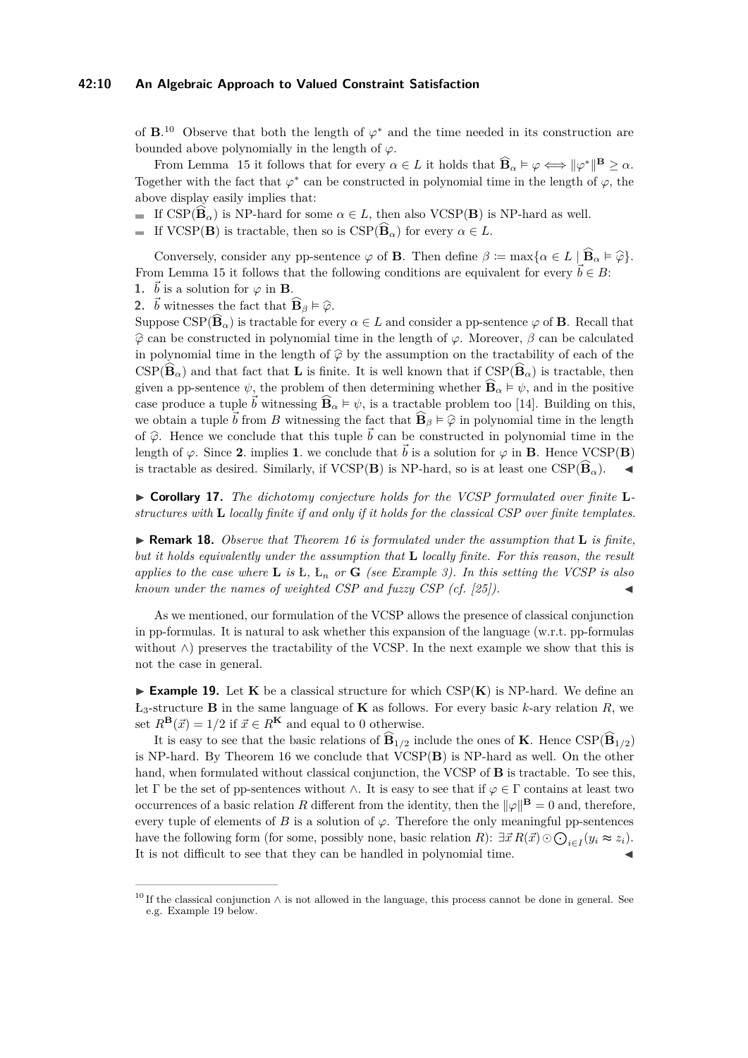of  $\mathbf{B}$ <sup>[10](#page-9-0)</sup> Observe that both the length of  $\varphi^*$  and the time needed in its construction are bounded above polynomially in the length of  $\varphi$ .

From Lemma [15](#page-8-2) it follows that for every  $\alpha \in L$  it holds that  $\widehat{\mathbf{B}}_{\alpha} \models \varphi \Longleftrightarrow ||\varphi^*||^{\mathbf{B}} \geq \alpha$ . Together with the fact that  $\varphi^*$  can be constructed in polynomial time in the length of  $\varphi$ , the above display easily implies that:

If  $\text{CSP}(\widehat{\mathbf{B}}_{\alpha})$  is NP-hard for some  $\alpha \in L$ , then also VCSP(**B**) is NP-hard as well.

If VCSP(**B**) is tractable, then so is  $CSP(\widehat{B}_{\alpha})$  for every  $\alpha \in L$ .

Conversely, consider any pp-sentence  $\varphi$  of **B**. Then define  $\beta := \max\{\alpha \in L \mid \widehat{\mathbf{B}}_{\alpha} \models \widehat{\varphi}\}.$ From Lemma [15](#page-8-2) it follows that the following conditions are equivalent for every  $\vec{b} \in B$ :

**1.**  $\vec{b}$  is a solution for  $\varphi$  in **B**.

**2.**  $\vec{b}$  witnesses the fact that  $\widehat{\mathbf{B}}_{\beta} \models \widehat{\varphi}$ .

 $\text{Suppose } \text{CSP}(\widehat{\mathbf{B}}_{\alpha})$  is tractable for every  $\alpha \in L$  and consider a pp-sentence  $\varphi$  of **B**. Recall that  $\hat{\varphi}$  can be constructed in polynomial time in the length of  $\varphi$ . Moreover,  $\beta$  can be calculated in polynomial time in the length of  $\hat{\varphi}$  by the assumption on the tractability of each of the  $\text{CSP}(\widehat{\mathbf{B}}_{\alpha})$  and that fact that **L** is finite. It is well known that if  $\text{CSP}(\widehat{\mathbf{B}}_{\alpha})$  is tractable, then given a pp-sentence  $\psi$ , the problem of then determining whether  $\widehat{\mathbf{B}}_{\alpha} \models \psi$ , and in the positive case produce a tuple  $\vec{b}$  witnessing  $\widehat{\mathbf{B}}_{\alpha} \models \psi$ , is a tractable problem too [\[14\]](#page-14-14). Building on this, we obtain a tuple  $\vec{b}$  from *B* witnessing the fact that  $\widehat{\mathbf{B}}_{\beta} \models \widehat{\varphi}$  in polynomial time in the length of  $\hat{\varphi}$ . Hence we conclude that this tuple  $\vec{b}$  can be constructed in polynomial time in the length of  $\varphi$ . Since 2. implies 1. we conclude that  $\vec{b}$  is a solution for  $\varphi$  in **B**. Hence VCSP(**B**) is tractable as desired. Similarly, if  $VCSP(B)$  is NP-hard, so is at least one  $CSP(\widehat{B}_{\alpha})$ .

▶ Corollary 17. The dichotomy conjecture holds for the VCSP formulated over finite **L** *structures with* **L** *locally finite if and only if it holds for the classical CSP over finite templates.*

I **Remark 18.** *Observe that Theorem [16](#page-8-3) is formulated under the assumption that* **L** *is finite, but it holds equivalently under the assumption that* **L** *locally finite. For this reason, the result applies to the case where* **L** *is* Ł*,* Ł*<sup>n</sup> or* **G** *(see Example [3\)](#page-2-2). In this setting the VCSP is also known under the names of weighted CSP and fuzzy CSP (cf. [\[25\]](#page-14-3)).* 

As we mentioned, our formulation of the VCSP allows the presence of classical conjunction in pp-formulas. It is natural to ask whether this expansion of the language (w.r.t. pp-formulas without  $\wedge$ ) preserves the tractability of the VCSP. In the next example we show that this is not the case in general.

<span id="page-9-1"></span>**Example 19.** Let **K** be a classical structure for which  $CSP(K)$  is NP-hard. We define an  $L_3$ -structure **B** in the same language of **K** as follows. For every basic *k*-ary relation *R*, we set  $R^{\mathbf{B}}(\vec{x}) = 1/2$  if  $\vec{x} \in R^{\mathbf{K}}$  and equal to 0 otherwise.

It is easy to see that the basic relations of  $\widehat{\mathbf{B}}_{1/2}$  include the ones of **K**. Hence  $CSP(\widehat{\mathbf{B}}_{1/2})$ is NP-hard. By Theorem [16](#page-8-3) we conclude that VCSP(**B**) is NP-hard as well. On the other hand, when formulated without classical conjunction, the VCSP of **B** is tractable. To see this, let Γ be the set of pp-sentences without  $\wedge$ . It is easy to see that if  $\varphi \in \Gamma$  contains at least two occurrences of a basic relation *R* different from the identity, then the  $\|\varphi\|^{\mathbf{B}} = 0$  and, therefore, every tuple of elements of *B* is a solution of  $\varphi$ . Therefore the only meaningful pp-sentences have the following form (for some, possibly none, basic relation *R*):  $\exists \vec{x} R(\vec{x}) \odot \bigodot_{i \in I} (y_i \approx z_i)$ . It is not difficult to see that they can be handled in polynomial time.

<span id="page-9-0"></span><sup>&</sup>lt;sup>10</sup> If the classical conjunction  $\wedge$  is not allowed in the language, this process cannot be done in general. See e.g. Example [19](#page-9-1) below.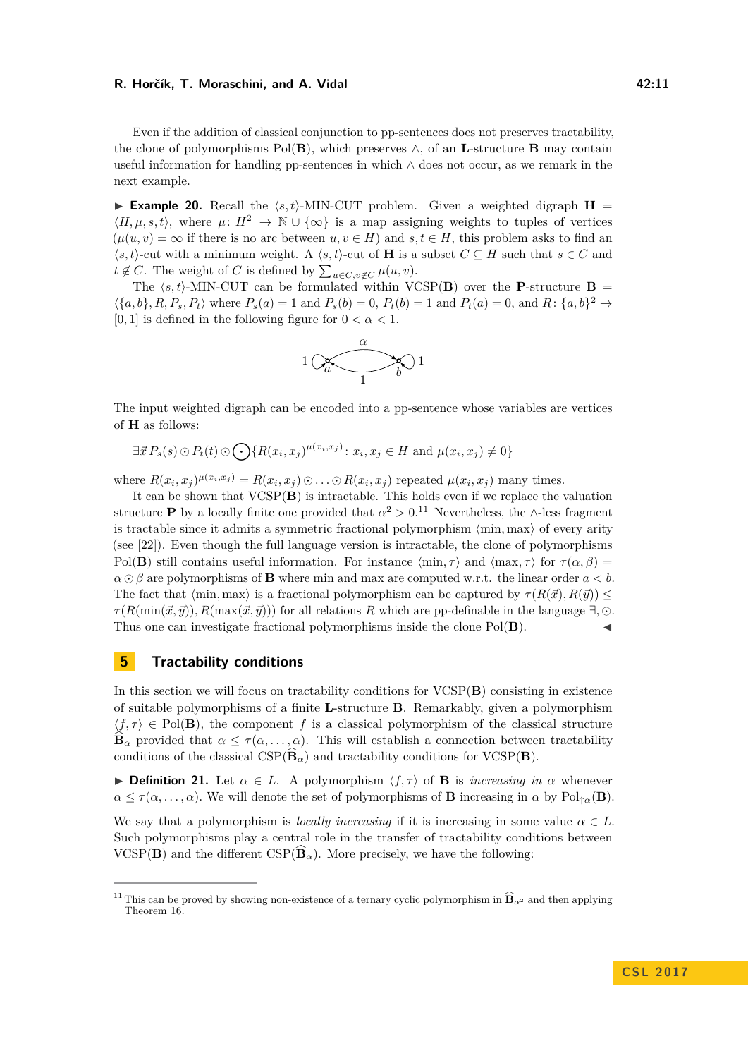#### **R. Horčík, T. Moraschini, and A. Vidal 42:11 12:11 12:11**

Even if the addition of classical conjunction to pp-sentences does not preserves tractability, the clone of polymorphisms Pol(**B**), which preserves  $\wedge$ , of an **L**-structure **B** may contain useful information for handling pp-sentences in which  $\wedge$  does not occur, as we remark in the next example.

**Example 20.** Recall the  $\langle s, t \rangle$ -MIN-CUT problem. Given a weighted digraph  $H =$  $\langle H, \mu, s, t \rangle$ , where  $\mu: H^2 \to \mathbb{N} \cup \{\infty\}$  is a map assigning weights to tuples of vertices  $(\mu(u, v) = \infty$  if there is no arc between  $u, v \in H$ ) and  $s, t \in H$ , this problem asks to find an  $\langle s, t \rangle$ -cut with a minimum weight. A  $\langle s, t \rangle$ -cut of **H** is a subset  $C \subseteq H$  such that  $s \in C$  and  $t \notin C$ . The weight of *C* is defined by  $\sum_{u \in C, v \notin C} \mu(u, v)$ .

The  $\langle s, t \rangle$ -MIN-CUT can be formulated within VCSP(**B**) over the **P**-structure **B** =  $\langle \{a,b\},R,P_s,P_t\rangle$  where  $P_s(a) = 1$  and  $P_s(b) = 0$ ,  $P_t(b) = 1$  and  $P_t(a) = 0$ , and  $R: \{a,b\}^2 \rightarrow$ [0, 1] is defined in the following figure for  $0 < \alpha < 1$ .



The input weighted digraph can be encoded into a pp-sentence whose variables are vertices of **H** as follows:

 $\exists \vec{x} P_s(s) \odot P_t(t) \odot \bigodot \{ R(x_i, x_j)^{\mu(x_i, x_j)} : x_i, x_j \in H \text{ and } \mu(x_i, x_j) \neq 0 \}$ 

where  $R(x_i, x_j)^{\mu(x_i, x_j)} = R(x_i, x_j) \odot \ldots \odot R(x_i, x_j)$  repeated  $\mu(x_i, x_j)$  many times.

It can be shown that VCSP(**B**) is intractable. This holds even if we replace the valuation structure **P** by a locally finite one provided that  $\alpha^2 > 0$ .<sup>[11](#page-10-0)</sup> Nevertheless, the ∧-less fragment is tractable since it admits a symmetric fractional polymorphism  $\langle \min, \max \rangle$  of every arity (see [\[22\]](#page-14-9)). Even though the full language version is intractable, the clone of polymorphisms Pol(**B**) still contains useful information. For instance  $\langle \min, \tau \rangle$  and  $\langle \max, \tau \rangle$  for  $\tau(\alpha, \beta)$  $\alpha \odot \beta$  are polymorphisms of **B** where min and max are computed w.r.t. the linear order  $a < b$ . The fact that  $\langle \min, \max \rangle$  is a fractional polymorphism can be captured by  $\tau(R(\vec{x}), R(\vec{y})) \leq$  $\tau(R(\min(\vec{x}, \vec{y}))$ ,  $R(\max(\vec{x}, \vec{y}))$  for all relations *R* which are pp-definable in the language  $\exists$ ,  $\odot$ . Thus one can investigate fractional polymorphisms inside the clone Pol(**B**). J

### **5 Tractability conditions**

In this section we will focus on tractability conditions for VCSP(**B**) consisting in existence of suitable polymorphisms of a finite **L**-structure **B**. Remarkably, given a polymorphism  $\langle f, \tau \rangle \in Pol(B)$ , the component f is a classical polymorphism of the classical structure  $\widehat{\mathbf{B}}_{\alpha}$  provided that  $\alpha \leq \tau(\alpha,\ldots,\alpha)$ . This will establish a connection between tractability conditions of the classical  $\text{CSP}(\widehat{\mathbf{B}}_{\alpha})$  and tractability conditions for  $\text{VCSP}(\mathbf{B})$ .

**Definition 21.** Let  $\alpha \in L$ . A polymorphism  $\langle f, \tau \rangle$  of **B** is *increasing in*  $\alpha$  whenever  $\alpha \leq \tau(\alpha, \ldots, \alpha)$ . We will denote the set of polymorphisms of **B** increasing in  $\alpha$  by Pol<sub>† $\alpha$ </sub>(**B**).

We say that a polymorphism is *locally increasing* if it is increasing in some value  $\alpha \in L$ . Such polymorphisms play a central role in the transfer of tractability conditions between  $VCSP(B)$  and the different  $CSP(\widehat{B}_{\alpha})$ . More precisely, we have the following:

<span id="page-10-0"></span><sup>&</sup>lt;sup>11</sup> This can be proved by showing non-existence of a ternary cyclic polymorphism in  $\widehat{B}_{\alpha^2}$  and then applying Theorem [16.](#page-8-3)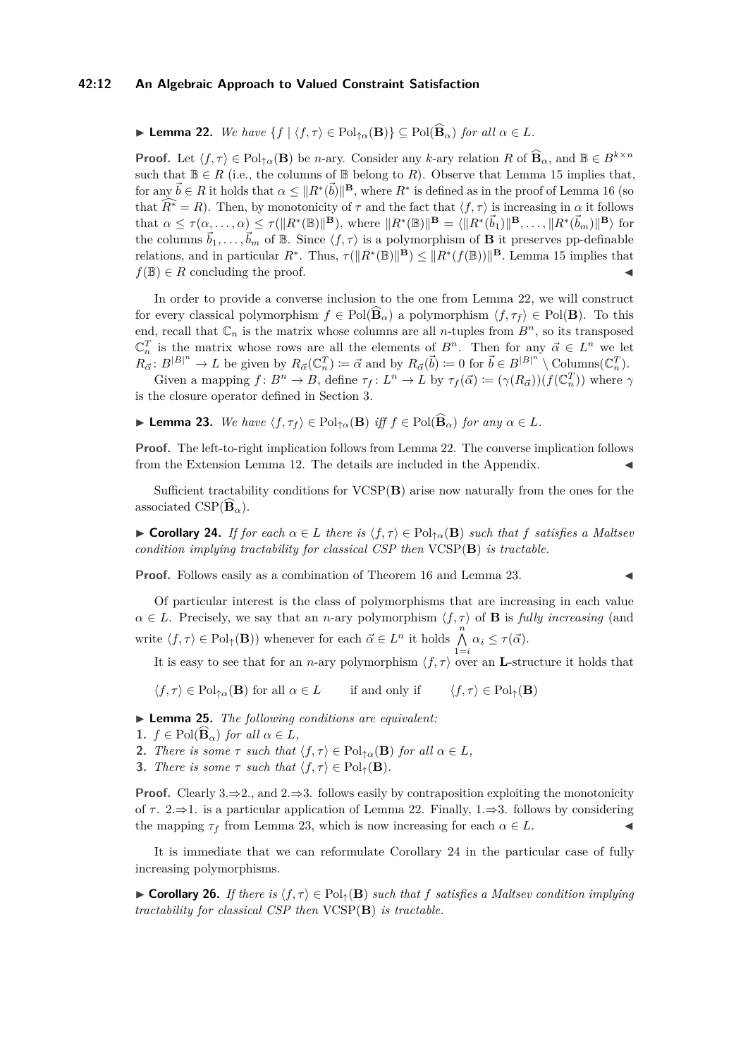#### **42:12 An Algebraic Approach to Valued Constraint Satisfaction**

<span id="page-11-0"></span> $\blacktriangleright$  **Lemma 22.** *We have* {*f* |  $\langle f, \tau \rangle$  ∈ Pol<sub>↑α</sub>(**B**)} ⊆ Pol( $\widehat{\mathbf{B}}_{\alpha}$ ) *for all*  $\alpha \in L$ *.* 

**Proof.** Let  $\langle f, \tau \rangle \in \text{Pol}_{\uparrow \alpha}(\mathbf{B})$  be *n*-ary. Consider any *k*-ary relation *R* of  $\widehat{\mathbf{B}}_{\alpha}$ , and  $\mathbb{B} \in B^{k \times n}$ such that  $\mathbb{B} \in R$  (i.e., the columns of  $\mathbb{B}$  belong to *R*). Observe that Lemma [15](#page-8-2) implies that, for any  $\vec{b} \in R$  it holds that  $\alpha \leq ||R^*(\vec{b})||^{\mathbf{B}}$ , where  $R^*$  is defined as in the proof of Lemma [16](#page-8-3) (so that  $\widehat{R^*} = R$ ). Then, by monotonicity of  $\tau$  and the fact that  $\langle f, \tau \rangle$  is increasing in  $\alpha$  it follows that  $\alpha \leq \tau(\alpha, \ldots, \alpha) \leq \tau(\|R^*(\mathbb{B})\|^{\mathbf{B}})$ , where  $\|R^*(\mathbb{B})\|^{\mathbf{B}} = \langle \|R^*(\vec{b}_1)\|^{\mathbf{B}}, \ldots, \|R^*(\vec{b}_m)\|^{\mathbf{B}}\rangle$  for the columns  $\vec{b}_1, \ldots, \vec{b}_m$  of B. Since  $\langle f, \tau \rangle$  is a polymorphism of **B** it preserves pp-definable relations, and in particular  $R^*$ . Thus,  $\tau(\|R^*(\mathbb{B})\|^{\mathbf{B}}) \leq \|R^*(f(\mathbb{B}))\|^{\mathbf{B}}$ . Lemma [15](#page-8-2) implies that  $f(\mathbb{B}) \in R$  concluding the proof.

In order to provide a converse inclusion to the one from Lemma [22,](#page-11-0) we will construct for every classical polymorphism  $f \in Pol(\widehat{\mathbf{B}}_{\alpha})$  a polymorphism  $\langle f, \tau_f \rangle \in Pol(\mathbf{B})$ . To this end, recall that  $\mathbb{C}_n$  is the matrix whose columns are all *n*-tuples from  $B^n$ , so its transposed  $\mathbb{C}_n^T$  is the matrix whose rows are all the elements of  $B^n$ . Then for any  $\vec{\alpha} \in L^n$  we let  $R_{\vec{\alpha}}: B^{|B|^n} \to L$  be given by  $R_{\vec{\alpha}}(\mathbb{C}_n^T) \coloneqq \vec{\alpha}$  and by  $R_{\vec{\alpha}}(\vec{b}) \coloneqq 0$  for  $\vec{b} \in B^{|B|^n} \setminus \text{Columns}(\mathbb{C}_n^T)$ .

Given a mapping  $f: B^n \to B$ , define  $\tau_f: L^n \to L$  by  $\tau_f(\vec{\alpha}) \coloneqq (\gamma(R_{\vec{\alpha}}))(f(\mathbb{C}_n^T))$  where  $\gamma$ is the closure operator defined in Section [3.](#page-4-2)

<span id="page-11-1"></span>**► Lemma 23.** We have  $\langle f, \tau_f \rangle$  ∈ Pol<sub>↑α</sub>(**B**) *iff*  $f$  ∈ Pol( $\widehat{B}_\alpha$ ) *for any*  $\alpha \in L$ *.* 

**Proof.** The left-to-right implication follows from Lemma [22.](#page-11-0) The converse implication follows from the Extension Lemma [12.](#page-7-0) The details are included in the Appendix.

Sufficient tractability conditions for VCSP(**B**) arise now naturally from the ones for the associated  $\text{CSP}(\widehat{\mathbf{B}}_{\alpha})$ .

<span id="page-11-2"></span> $\triangleright$  **Corollary 24.** *If for each*  $\alpha \in L$  *there is*  $\langle f, \tau \rangle$  ∈ Pol<sub>↑ $\alpha$ </sub>(**B**) *such that f satisfies* a *Maltsev condition implying tractability for classical CSP then* VCSP(**B**) *is tractable.*

**Proof.** Follows easily as a combination of Theorem [16](#page-8-3) and Lemma [23.](#page-11-1)

Of particular interest is the class of polymorphisms that are increasing in each value  $\alpha \in L$ . Precisely, we say that an *n*-ary polymorphism  $\langle f, \tau \rangle$  of **B** is *fully increasing* (and write  $\langle f, \tau \rangle \in \mathrm{Pol}_{\uparrow}(\mathbf{B})$ ) whenever for each  $\vec{\alpha} \in L^n$  it holds  $\bigwedge^n$  $\bigwedge_{1=i} \alpha_i \leq \tau(\vec{\alpha}).$ 

It is easy to see that for an *n*-ary polymorphism  $\langle f, \tau \rangle$  over an **L**-structure it holds that

 $\langle f, \tau \rangle \in \mathrm{Pol}_{\uparrow \alpha}(\mathbf{B})$  for all  $\alpha \in L$  if and only if  $\langle f, \tau \rangle \in \mathrm{Pol}_{\uparrow}(\mathbf{B})$ 

<span id="page-11-4"></span>I **Lemma 25.** *The following conditions are equivalent:*

- **1.**  $f \in \text{Pol}(\widehat{\mathbf{B}}_{\alpha})$  for all  $\alpha \in L$ ,
- **2.** *There is some*  $\tau$  *such that*  $\langle f, \tau \rangle \in \mathrm{Pol}_{\uparrow \alpha}(\mathbf{B})$  *for all*  $\alpha \in L$ *,*
- **3.** *There is some*  $\tau$  *such that*  $\langle f, \tau \rangle \in Pol_{\uparrow}(\mathbf{B})$ *.*

**Proof.** Clearly 3. $\Rightarrow$ 2., and 2. $\Rightarrow$ 3. follows easily by contraposition exploiting the monotonicity of  $\tau$ . 2.⇒1. is a particular application of Lemma [22.](#page-11-0) Finally, 1.⇒3. follows by considering the mapping  $\tau_f$  from Lemma [23,](#page-11-1) which is now increasing for each  $\alpha \in L$ .

It is immediate that we can reformulate Corollary [24](#page-11-2) in the particular case of fully increasing polymorphisms.

<span id="page-11-3"></span>**► Corollary 26.** *If there is*  $\langle f, \tau \rangle \in Pol_1(\mathbf{B})$  *such that f satisfies a Maltsev condition implying tractability for classical CSP then* VCSP(**B**) *is tractable.*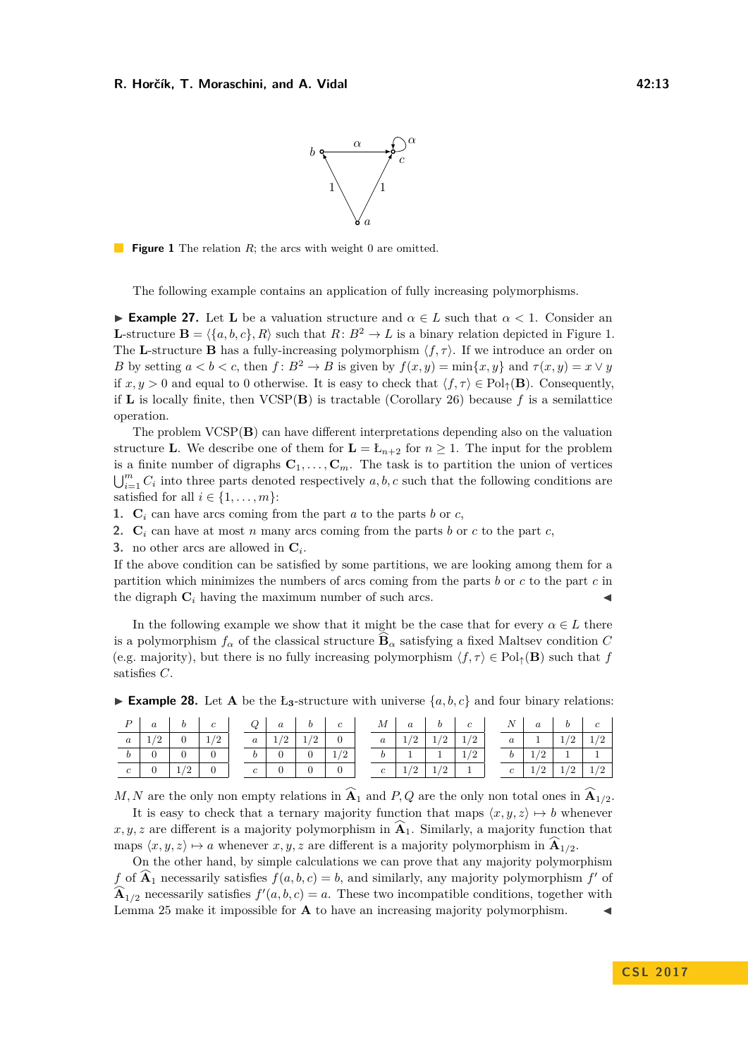

<span id="page-12-0"></span>**Figure 1** The relation *R*; the arcs with weight 0 are omitted.

The following example contains an application of fully increasing polymorphisms.

**Example 27.** Let **L** be a valuation structure and  $\alpha \in L$  such that  $\alpha < 1$ . Consider an **L**-structure  $\mathbf{B} = \langle \{a, b, c\}, R \rangle$  such that  $R: B^2 \to L$  is a binary relation depicted in Figure [1.](#page-12-0) The **L**-structure **B** has a fully-increasing polymorphism  $\langle f, \tau \rangle$ . If we introduce an order on *B* by setting  $a < b < c$ , then  $f : B^2 \to B$  is given by  $f(x, y) = \min\{x, y\}$  and  $\tau(x, y) = x \vee y$ if  $x, y > 0$  and equal to 0 otherwise. It is easy to check that  $\langle f, \tau \rangle \in Pol_{\uparrow}(\mathbf{B})$ . Consequently, if **L** is locally finite, then  $VCSP(B)$  is tractable (Corollary [26\)](#page-11-3) because f is a semilattice operation.

The problem VCSP(**B**) can have different interpretations depending also on the valuation structure **L**. We describe one of them for  $\mathbf{L} = \mathbf{L}_{n+2}$  for  $n \geq 1$ . The input for the problem is a finite number of digraphs  $C_1, \ldots, C_m$ . The task is to partition the union of vertices  $\bigcup_{i=1}^{m} C_i$  into three parts denoted respectively *a, b, c* such that the following conditions are satisfied for all  $i \in \{1, \ldots, m\}$ :

**1.**  $C_i$  can have arcs coming from the part *a* to the parts *b* or *c*,

- **2.**  $\mathbf{C}_i$  can have at most *n* many arcs coming from the parts *b* or *c* to the part *c*,
- **3.** no other arcs are allowed in **C***<sup>i</sup>* .

If the above condition can be satisfied by some partitions, we are looking among them for a partition which minimizes the numbers of arcs coming from the parts *b* or *c* to the part *c* in the digraph  $C_i$  having the maximum number of such arcs.

In the following example we show that it might be the case that for every  $\alpha \in L$  there is a polymorphism  $f_\alpha$  of the classical structure  $\hat{\mathbf{B}}_\alpha$  satisfying a fixed Maltsev condition *C* (e.g. majority), but there is no fully increasing polymorphism  $\langle f, \tau \rangle \in Pol_{\uparrow}(\mathbf{B})$  such that *f* satisfies *C*.

| $\boldsymbol{P}$ | $\boldsymbol{a}$ |   | $\mathfrak{c}$ | Q                | $\boldsymbol{a}$ | b | c | $\boldsymbol{M}$ | $\boldsymbol{a}$ |            | $\mathfrak{c}$ | N                | $\boldsymbol{a}$ |     |            |
|------------------|------------------|---|----------------|------------------|------------------|---|---|------------------|------------------|------------|----------------|------------------|------------------|-----|------------|
| $\boldsymbol{a}$ |                  |   | $\sqrt{2}$     | $\boldsymbol{a}$ | $\sqrt{2}$       |   |   | $\boldsymbol{a}$ |                  | $\sqrt{2}$ | 1/9<br>▵       | $\boldsymbol{a}$ |                  |     |            |
| b                |                  |   |                |                  |                  |   | ▵ |                  |                  |            | ▵              | υ                | $\sqrt{2}$<br>▵  |     |            |
| $\mathfrak{c}$   |                  | ▵ |                | $\boldsymbol{c}$ |                  |   |   | $\mathfrak{c}$   | /2               | $\sqrt{2}$ |                | $\mathfrak{c}$   | 1/2              | 1/9 | $\sqrt{2}$ |

**Example 28.** Let **A** be the  $L_3$ -structure with universe  $\{a, b, c\}$  and four binary relations:

*M*, *N* are the only non empty relations in  $\widehat{A}_1$  and *P*, *Q* are the only non total ones in  $\widehat{A}_{1/2}$ . It is easy to check that a ternary majority function that maps  $\langle x, y, z \rangle \mapsto b$  whenever  $x, y, z$  are different is a majority polymorphism in  $\widehat{A}_1$ . Similarly, a majority function that

maps  $\langle x, y, z \rangle \mapsto a$  whenever  $x, y, z$  are different is a majority polymorphism in  $\widehat{A}_{1/2}$ .

On the other hand, by simple calculations we can prove that any majority polymorphism *f* of  $\widehat{A}_1$  necessarily satisfies  $f(a, b, c) = b$ , and similarly, any majority polymorphism  $f'$  of  $\hat{\mathbf{A}}_{1/2}$  necessarily satisfies  $f'(a, b, c) = a$ . These two incompatible conditions, together with Lemma [25](#page-11-4) make it impossible for  $A$  to have an increasing majority polymorphism.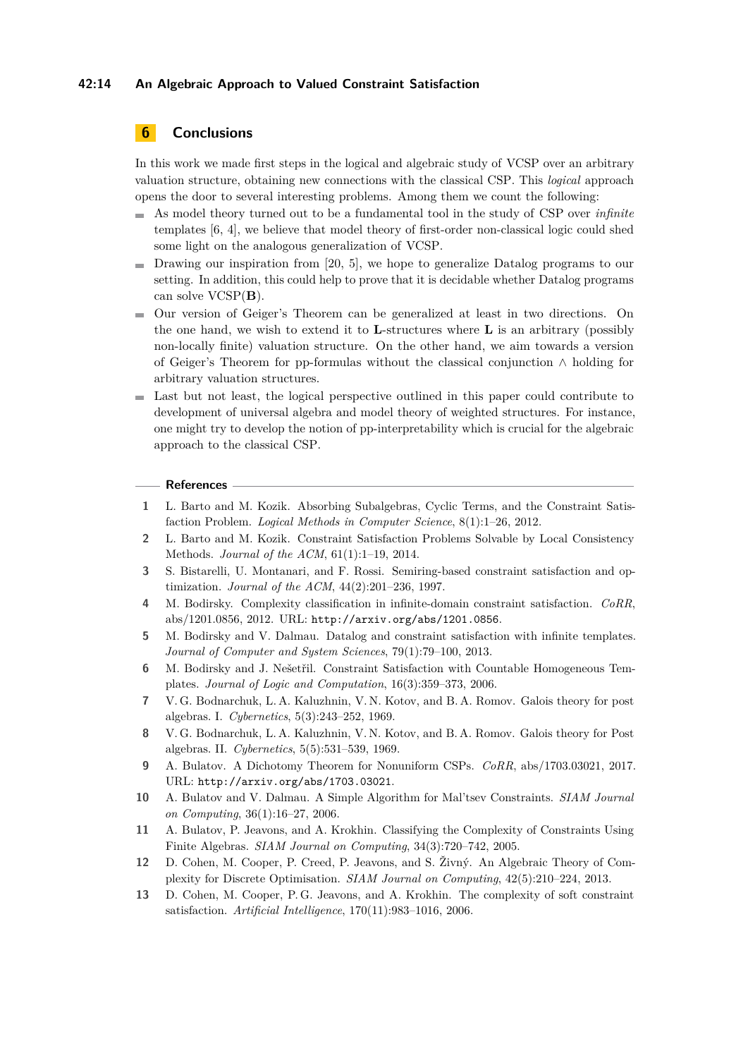### **42:14 An Algebraic Approach to Valued Constraint Satisfaction**

### **6 Conclusions**

In this work we made first steps in the logical and algebraic study of VCSP over an arbitrary valuation structure, obtaining new connections with the classical CSP. This *logical* approach opens the door to several interesting problems. Among them we count the following:

- As model theory turned out to be a fundamental tool in the study of CSP over *infinite* templates [\[6,](#page-13-10) [4\]](#page-13-11), we believe that model theory of first-order non-classical logic could shed some light on the analogous generalization of VCSP.
- $\blacksquare$  Drawing our inspiration from [\[20,](#page-14-15) [5\]](#page-13-12), we hope to generalize Datalog programs to our setting. In addition, this could help to prove that it is decidable whether Datalog programs can solve VCSP(**B**).
- Our version of Geiger's Theorem can be generalized at least in two directions. On m. the one hand, we wish to extend it to **L**-structures where **L** is an arbitrary (possibly non-locally finite) valuation structure. On the other hand, we aim towards a version of Geiger's Theorem for pp-formulas without the classical conjunction ∧ holding for arbitrary valuation structures.
- Last but not least, the logical perspective outlined in this paper could contribute to development of universal algebra and model theory of weighted structures. For instance, one might try to develop the notion of pp-interpretability which is crucial for the algebraic approach to the classical CSP.

#### **References**

- <span id="page-13-2"></span>**1** L. Barto and M. Kozik. Absorbing Subalgebras, Cyclic Terms, and the Constraint Satisfaction Problem. *Logical Methods in Computer Science*, 8(1):1–26, 2012.
- <span id="page-13-3"></span>**2** L. Barto and M. Kozik. Constraint Satisfaction Problems Solvable by Local Consistency Methods. *Journal of the ACM*, 61(1):1–19, 2014.
- <span id="page-13-8"></span>**3** S. Bistarelli, U. Montanari, and F. Rossi. Semiring-based constraint satisfaction and optimization. *Journal of the ACM*, 44(2):201–236, 1997.
- <span id="page-13-11"></span>**4** M. Bodirsky. Complexity classification in infinite-domain constraint satisfaction. *CoRR*, abs/1201.0856, 2012. URL: <http://arxiv.org/abs/1201.0856>.
- <span id="page-13-12"></span>**5** M. Bodirsky and V. Dalmau. Datalog and constraint satisfaction with infinite templates. *Journal of Computer and System Sciences*, 79(1):79–100, 2013.
- <span id="page-13-10"></span>**6** M. Bodirsky and J. Nešetřil. Constraint Satisfaction with Countable Homogeneous Templates. *Journal of Logic and Computation*, 16(3):359–373, 2006.
- <span id="page-13-6"></span>**7** V. G. Bodnarchuk, L. A. Kaluzhnin, V. N. Kotov, and B. A. Romov. Galois theory for post algebras. I. *Cybernetics*, 5(3):243–252, 1969.
- <span id="page-13-7"></span>**8** V. G. Bodnarchuk, L. A. Kaluzhnin, V. N. Kotov, and B. A. Romov. Galois theory for Post algebras. II. *Cybernetics*, 5(5):531–539, 1969.
- <span id="page-13-9"></span>**9** A. Bulatov. A Dichotomy Theorem for Nonuniform CSPs. *CoRR*, abs/1703.03021, 2017. URL: <http://arxiv.org/abs/1703.03021>.
- <span id="page-13-1"></span>**10** A. Bulatov and V. Dalmau. A Simple Algorithm for Mal'tsev Constraints. *SIAM Journal on Computing*, 36(1):16–27, 2006.
- <span id="page-13-0"></span>**11** A. Bulatov, P. Jeavons, and A. Krokhin. Classifying the Complexity of Constraints Using Finite Algebras. *SIAM Journal on Computing*, 34(3):720–742, 2005.
- <span id="page-13-5"></span>**12** D. Cohen, M. Cooper, P. Creed, P. Jeavons, and S. Živný. An Algebraic Theory of Complexity for Discrete Optimisation. *SIAM Journal on Computing*, 42(5):210–224, 2013.
- <span id="page-13-4"></span>**13** D. Cohen, M. Cooper, P. G. Jeavons, and A. Krokhin. The complexity of soft constraint satisfaction. *Artificial Intelligence*, 170(11):983–1016, 2006.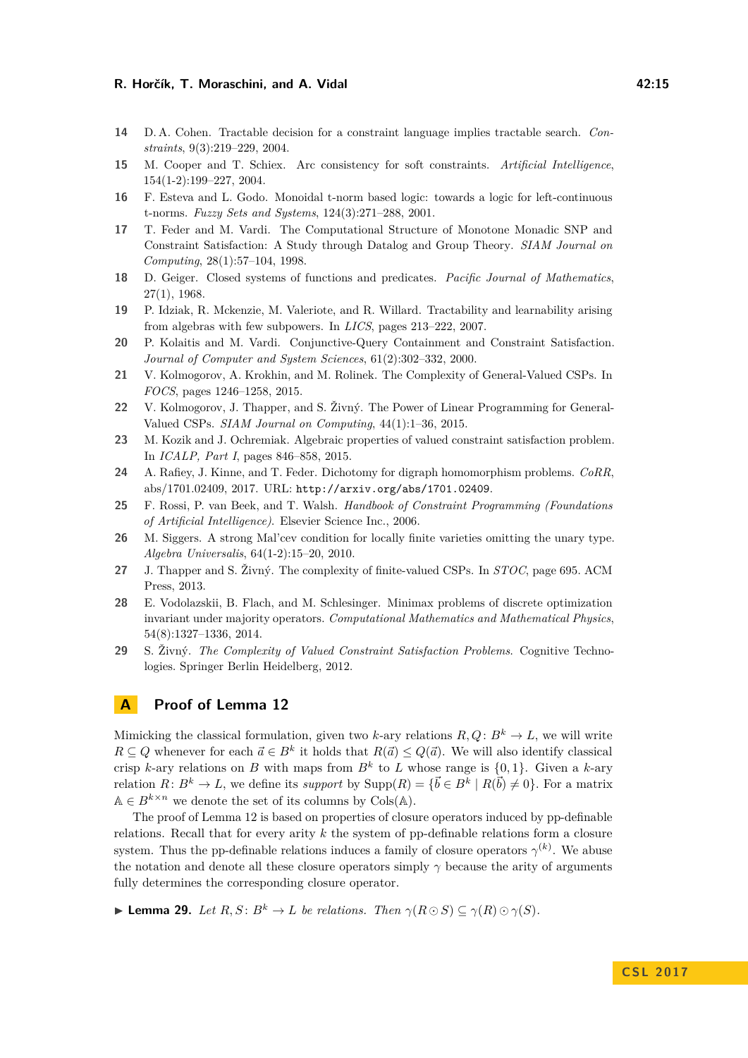### **R. Horčík, T. Moraschini, and A. Vidal 42:15 12:15 12:15**

- <span id="page-14-14"></span>**14** D. A. Cohen. Tractable decision for a constraint language implies tractable search. *Constraints*, 9(3):219–229, 2004.
- <span id="page-14-11"></span>**15** M. Cooper and T. Schiex. Arc consistency for soft constraints. *Artificial Intelligence*, 154(1-2):199–227, 2004.
- <span id="page-14-13"></span>**16** F. Esteva and L. Godo. Monoidal t-norm based logic: towards a logic for left-continuous t-norms. *Fuzzy Sets and Systems*, 124(3):271–288, 2001.
- <span id="page-14-0"></span>**17** T. Feder and M. Vardi. The Computational Structure of Monotone Monadic SNP and Constraint Satisfaction: A Study through Datalog and Group Theory. *SIAM Journal on Computing*, 28(1):57–104, 1998.
- <span id="page-14-8"></span>**18** D. Geiger. Closed systems of functions and predicates. *Pacific Journal of Mathematics*, 27(1), 1968.
- <span id="page-14-1"></span>**19** P. Idziak, R. Mckenzie, M. Valeriote, and R. Willard. Tractability and learnability arising from algebras with few subpowers. In *LICS*, pages 213–222, 2007.
- <span id="page-14-15"></span>**20** P. Kolaitis and M. Vardi. Conjunctive-Query Containment and Constraint Satisfaction. *Journal of Computer and System Sciences*, 61(2):302–332, 2000.
- <span id="page-14-7"></span>**21** V. Kolmogorov, A. Krokhin, and M. Rolinek. The Complexity of General-Valued CSPs. In *FOCS*, pages 1246–1258, 2015.
- <span id="page-14-9"></span>**22** V. Kolmogorov, J. Thapper, and S. Živný. The Power of Linear Programming for General-Valued CSPs. *SIAM Journal on Computing*, 44(1):1–36, 2015.
- <span id="page-14-6"></span>**23** M. Kozik and J. Ochremiak. Algebraic properties of valued constraint satisfaction problem. In *ICALP, Part I*, pages 846–858, 2015.
- <span id="page-14-12"></span>**24** A. Rafiey, J. Kinne, and T. Feder. Dichotomy for digraph homomorphism problems. *CoRR*, abs/1701.02409, 2017. URL: <http://arxiv.org/abs/1701.02409>.
- <span id="page-14-3"></span>**25** F. Rossi, P. van Beek, and T. Walsh. *Handbook of Constraint Programming (Foundations of Artificial Intelligence)*. Elsevier Science Inc., 2006.
- <span id="page-14-2"></span>**26** M. Siggers. A strong Mal'cev condition for locally finite varieties omitting the unary type. *Algebra Universalis*, 64(1-2):15–20, 2010.
- <span id="page-14-5"></span>**27** J. Thapper and S. Živný. The complexity of finite-valued CSPs. In *STOC*, page 695. ACM Press, 2013.
- <span id="page-14-10"></span>**28** E. Vodolazskii, B. Flach, and M. Schlesinger. Minimax problems of discrete optimization invariant under majority operators. *Computational Mathematics and Mathematical Physics*, 54(8):1327–1336, 2014.
- <span id="page-14-4"></span>**29** S. Živný. *The Complexity of Valued Constraint Satisfaction Problems*. Cognitive Technologies. Springer Berlin Heidelberg, 2012.

### **A Proof of Lemma [12](#page-7-0)**

Mimicking the classical formulation, given two *k*-ary relations  $R, Q: B^k \to L$ , we will write *R* ⊆ *Q* whenever for each  $\vec{a} \in B^k$  it holds that  $R(\vec{a}) \leq Q(\vec{a})$ . We will also identify classical crisp *k*-ary relations on *B* with maps from  $B^k$  to *L* whose range is  $\{0, 1\}$ . Given a *k*-ary relation  $R: B^k \to L$ , we define its *support* by  $\text{Supp}(R) = {\{\vec{b} \in B^k \mid R(\vec{b}) \neq 0\}}$ . For a matrix  $\mathbb{A} \in B^{k \times n}$  we denote the set of its columns by Cols(A).

The proof of Lemma [12](#page-7-0) is based on properties of closure operators induced by pp-definable relations. Recall that for every arity *k* the system of pp-definable relations form a closure system. Thus the pp-definable relations induces a family of closure operators  $\gamma^{(k)}$ . We abuse the notation and denote all these closure operators simply  $\gamma$  because the arity of arguments fully determines the corresponding closure operator.

<span id="page-14-16"></span>► **Lemma 29.** *Let*  $R, S: B^k \to L$  *be relations. Then*  $\gamma(R \odot S) \subseteq \gamma(R) \odot \gamma(S)$ *.*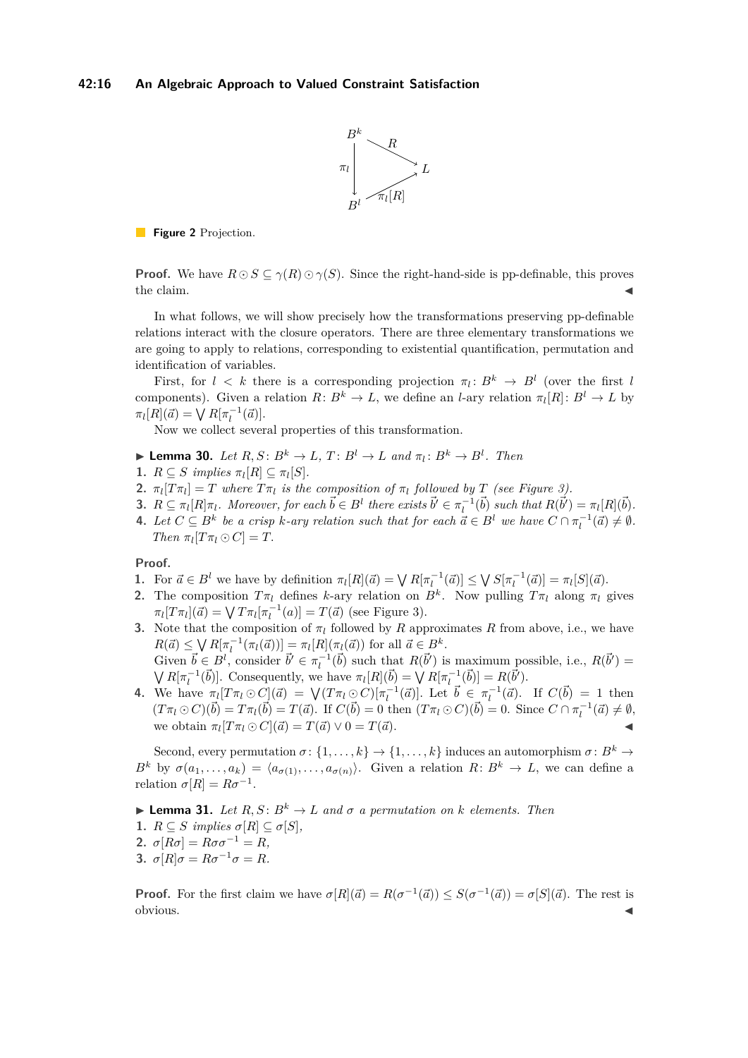

**Figure 2** Projection.

**Proof.** We have  $R \odot S \subseteq \gamma(R) \odot \gamma(S)$ . Since the right-hand-side is pp-definable, this proves the claim.  $\blacksquare$ 

In what follows, we will show precisely how the transformations preserving pp-definable relations interact with the closure operators. There are three elementary transformations we are going to apply to relations, corresponding to existential quantification, permutation and identification of variables.

First, for  $l \leq k$  there is a corresponding projection  $\pi_l: B^k \to B^l$  (over the first *l* components). Given a relation  $R: B^k \to L$ , we define an *l*-ary relation  $\pi_l[R]: B^l \to L$  by  $\pi_l[R](\vec{a}) = \sqrt{R[\pi_l^{-1}(\vec{a})]}$ .

Now we collect several properties of this transformation.

- <span id="page-15-0"></span> $\blacktriangleright$  **Lemma 30.** *Let*  $R, S: B^k \to L, T: B^l \to L$  and  $\pi_l: B^k \to B^l$ . Then
- **1.**  $R \subseteq S$  implies  $\pi_l[R] \subseteq \pi_l[S]$ .
- **2.**  $\pi_l[T\pi_l] = T$  where  $T\pi_l$  is the composition of  $\pi_l$  followed by  $T$  (see Figure [3\)](#page-16-0).
- **3.**  $R \subseteq \pi_l[R]\pi_l$ . Moreover, for each  $\vec{b} \in B^l$  there exists  $\vec{b}' \in \pi_l^{-1}(\vec{b})$  such that  $R(\vec{b}') = \pi_l[R](\vec{b})$ .
- **4.** Let  $C \subseteq B^k$  be a crisp *k*-ary relation such that for each  $\vec{a} \in B^l$  we have  $C \cap \pi_l^{-1}(\vec{a}) \neq \emptyset$ . *Then*  $\pi_l[T\pi_l \odot C] = T$ .

**Proof.**

- 1. For  $\vec{a} \in B^l$  we have by definition  $\pi_l[R](\vec{a}) = \bigvee R[\pi_l^{-1}(\vec{a})] \leq \bigvee S[\pi_l^{-1}(\vec{a})] = \pi_l[S](\vec{a})$ .
- **2.** The composition  $T\pi_l$  defines *k*-ary relation on  $B^k$ . Now pulling  $T\pi_l$  along  $\pi_l$  gives  $\pi_l[T\pi_l](\vec{a}) = \sqrt{T\pi_l[\pi_l^{-1}(a)]} = T(\vec{a})$  (see Figure [3\)](#page-16-0).
- **3.** Note that the composition of  $\pi_l$  followed by *R* approximates *R* from above, i.e., we have  $R(\vec{a}) \leq \bigvee R[\pi_l^{-1}(\pi_l(\vec{a}))] = \pi_l[R](\pi_l(\vec{a}))$  for all  $\vec{a} \in B^k$ . Given  $\vec{b} \in B^l$ , consider  $\vec{b}' \in \pi_l^{-1}(\vec{b})$  such that  $R(\vec{b}')$  is maximum possible, i.e.,  $R(\vec{b}')$  =  $\bigvee R[\pi_l^{-1}(\vec{b})]$ . Consequently, we have  $\pi_l[R](\vec{b}) = \bigvee R[\pi_l^{-1}(\vec{b})] = R(\vec{b}')$ .
- 4. We have  $\pi_l[T\pi_l\odot C](\vec{a}) = \sqrt{(T\pi_l\odot C)}[\pi_l^{-1}(\vec{a})]$ . Let  $\vec{b} \in [\pi_l^{-1}(\vec{a})]$ . If  $C(\vec{b}) = 1$  then  $(T\pi_l\odot C)(\vec{b})=T\pi_l(\vec{b})=T(\vec{a})$ . If  $C(\vec{b})=0$  then  $(T\pi_l\odot C)(\vec{b})=0$ . Since  $C\cap \pi_l^{-1}(\vec{a})\neq \emptyset$ , we obtain  $\pi_l[T\pi_l \odot C](\vec{a}) = T(\vec{a}) \vee 0 = T(\vec{a}).$

Second, every permutation  $\sigma$  :  $\{1, \ldots, k\} \rightarrow \{1, \ldots, k\}$  induces an automorphism  $\sigma$  :  $B^k \rightarrow$ *B*<sup>*k*</sup> by  $\sigma(a_1, \ldots, a_k) = \langle a_{\sigma(1)}, \ldots, a_{\sigma(n)} \rangle$ . Given a relation *R*:  $B^k \to L$ , we can define a relation  $\sigma[R] = R\sigma^{-1}$ .

<span id="page-15-1"></span> $\blacktriangleright$  **Lemma 31.** *Let*  $R, S: B^k \to L$  *and*  $\sigma$  *a permutation on*  $k$  *elements. Then* 

1.  $R \subseteq S$  *implies*  $\sigma[R] \subseteq \sigma[S]$ *,* 

2.  $\sigma[R\sigma] = R\sigma\sigma^{-1} = R$ ,

**3.**  $\sigma[R]\sigma = R\sigma^{-1}\sigma = R$ .

**Proof.** For the first claim we have  $\sigma[R](\vec{a}) = R(\sigma^{-1}(\vec{a})) \leq S(\sigma^{-1}(\vec{a})) = \sigma[S](\vec{a})$ . The rest is obvious. J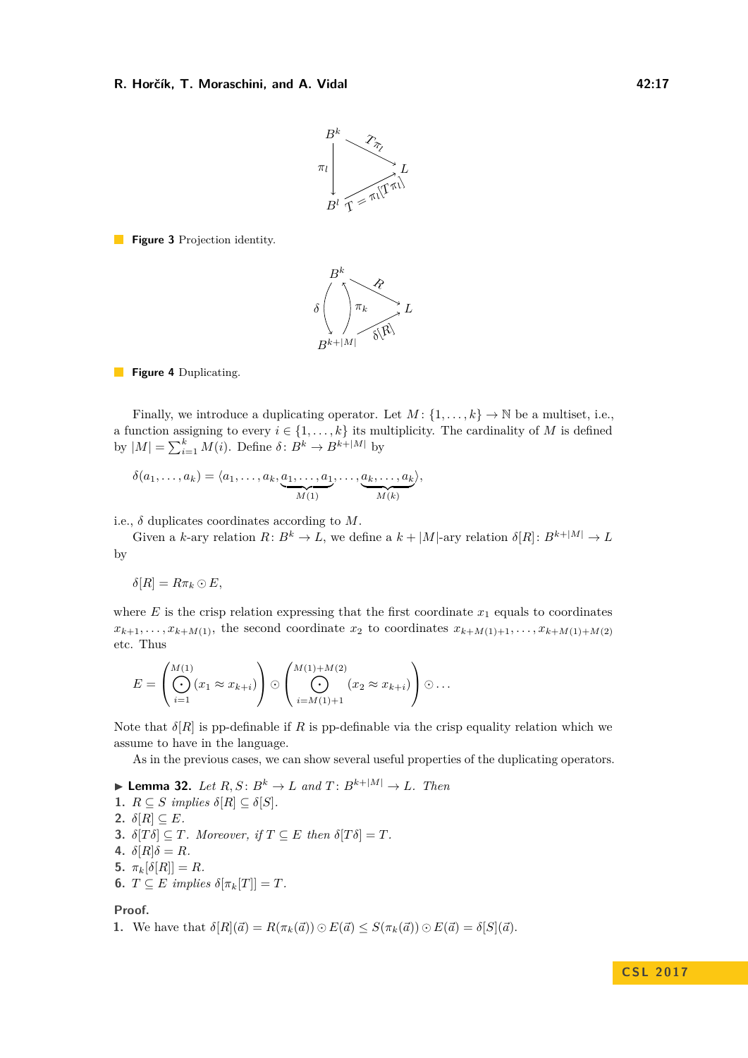

<span id="page-16-0"></span>**Figure 3** Projection identity.



**Figure 4** Duplicating.

Finally, we introduce a duplicating operator. Let  $M: \{1, \ldots, k\} \to \mathbb{N}$  be a multiset, i.e., a function assigning to every  $i \in \{1, ..., k\}$  its multiplicity. The cardinality of *M* is defined by  $|M| = \sum_{i=1}^{k} M(i)$ . Define  $\delta: B^k \to B^{k+|M|}$  by

$$
\delta(a_1,\ldots,a_k) = \langle a_1,\ldots,a_k,\underbrace{a_1,\ldots,a_1}_{M(1)},\ldots,\underbrace{a_k,\ldots,a_k}_{M(k)}\rangle,
$$

i.e.,  $\delta$  duplicates coordinates according to  $M$ .

Given a *k*-ary relation  $R: B^k \to L$ , we define a  $k + |M|$ -ary relation  $\delta[R]: B^{k+|M|} \to L$ by

$$
\delta[R] = R\pi_k \odot E,
$$

where  $E$  is the crisp relation expressing that the first coordinate  $x_1$  equals to coordinates  $x_{k+1}, \ldots, x_{k+M(1)}$ , the second coordinate  $x_2$  to coordinates  $x_{k+M(1)+1}, \ldots, x_{k+M(1)+M(2)}$ etc. Thus

$$
E = \left(\bigodot_{i=1}^{M(1)} (x_1 \approx x_{k+i})\right) \odot \left(\bigodot_{i=M(1)+1}^{M(1)+M(2)} (x_2 \approx x_{k+i})\right) \odot \dots
$$

Note that  $\delta[R]$  is pp-definable if R is pp-definable via the crisp equality relation which we assume to have in the language.

As in the previous cases, we can show several useful properties of the duplicating operators.

<span id="page-16-1"></span>\n- Lemma 32. Let 
$$
R, S: B^k \to L
$$
 and  $T: B^{k+|M|} \to L$ . Then
\n- 1.  $R \subseteq S$  implies  $\delta[R] \subseteq \delta[S]$ .
\n- 2.  $\delta[R] \subseteq E$ .
\n- 3.  $\delta[T\delta] \subseteq T$ . Moreover, if  $T \subseteq E$  then  $\delta[T\delta] = T$ .
\n- 4.  $\delta[R]\delta = R$ .
\n- 5.  $\pi_k[\delta[R]] = R$ .
\n- 6.  $T \subseteq E$  implies  $\delta[\pi_k[T]] = T$ .
\n

**Proof.**

**1.** We have that 
$$
\delta[R](\vec{a}) = R(\pi_k(\vec{a})) \odot E(\vec{a}) \leq S(\pi_k(\vec{a})) \odot E(\vec{a}) = \delta[S](\vec{a})
$$
.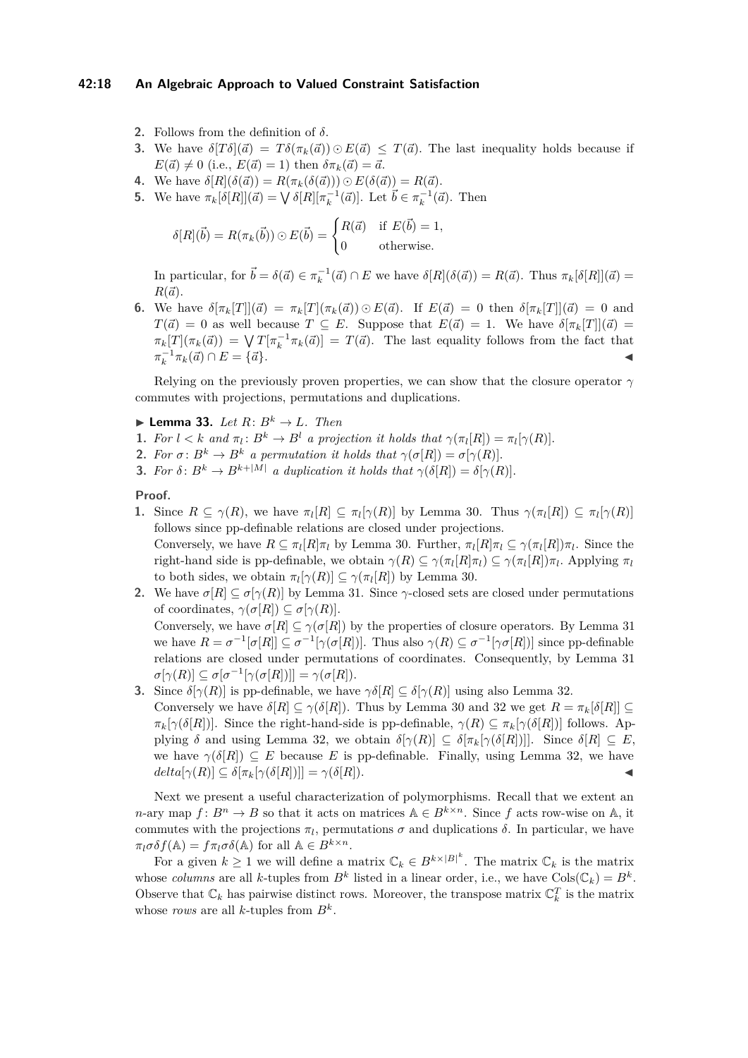### **42:18 An Algebraic Approach to Valued Constraint Satisfaction**

- **2.** Follows from the definition of *δ*.
- **3.** We have  $\delta[T\delta](\vec{a}) = T\delta(\pi_k(\vec{a})) \odot E(\vec{a}) \leq T(\vec{a})$ . The last inequality holds because if  $E(\vec{a}) \neq 0$  (i.e.,  $E(\vec{a}) = 1$ ) then  $\delta \pi_k(\vec{a}) = \vec{a}$ .
- **4.** We have  $\delta[R](\delta(\vec{a})) = R(\pi_k(\delta(\vec{a}))) \odot E(\delta(\vec{a})) = R(\vec{a})$ .
- **5.** We have  $\pi_k[\delta[R]](\vec{a}) = \bigvee \delta[R][\pi_k^{-1}(\vec{a})]$ . Let  $\vec{b} \in \pi_k^{-1}(\vec{a})$ . Then

$$
\delta[R](\vec{b}) = R(\pi_k(\vec{b})) \odot E(\vec{b}) = \begin{cases} R(\vec{a}) & \text{if } E(\vec{b}) = 1, \\ 0 & \text{otherwise.} \end{cases}
$$

In particular, for  $\vec{b} = \delta(\vec{a}) \in \pi_k^{-1}(\vec{a}) \cap E$  we have  $\delta[R](\delta(\vec{a})) = R(\vec{a})$ . Thus  $\pi_k[\delta[R]](\vec{a}) =$  $R(\vec{a})$ .

6. We have  $\delta[\pi_k[T]](\vec{a}) = \pi_k[T](\pi_k(\vec{a})) \odot E(\vec{a})$ . If  $E(\vec{a}) = 0$  then  $\delta[\pi_k[T]](\vec{a}) = 0$  and  $T(\vec{a}) = 0$  as well because  $T \subseteq E$ . Suppose that  $E(\vec{a}) = 1$ . We have  $\delta[\pi_k[T]](\vec{a}) = 1$  $\pi_k[T](\pi_k(\vec{a})) = \sqrt{T[\pi_k^{-1} \pi_k(\vec{a})]} = T(\vec{a})$ . The last equality follows from the fact that  $\pi_k^{-1} \pi_k(\vec{a}) \cap E = {\vec{a}}.$ 

Relying on the previously proven properties, we can show that the closure operator *γ* commutes with projections, permutations and duplications.

- <span id="page-17-0"></span> $\blacktriangleright$  **Lemma 33.** *Let*  $R: B^k \to L$ *. Then*
- **1.** For  $l < k$  and  $\pi_l : B^k \to B^l$  a projection it holds that  $\gamma(\pi_l[R]) = \pi_l[\gamma(R)]$ .
- **2.** *For*  $\sigma: B^k \to B^k$  *a permutation it holds that*  $\gamma(\sigma[R]) = \sigma[\gamma(R)]$ *.*
- **3.** *For*  $\delta$ :  $B^k \to B^{k+|M|}$  *a duplication it holds that*  $\gamma(\delta[R]) = \delta[\gamma(R)]$ *.*

### **Proof.**

- **1.** Since  $R \subseteq \gamma(R)$ , we have  $\pi_l[R] \subseteq \pi_l[\gamma(R)]$  by Lemma [30.](#page-15-0) Thus  $\gamma(\pi_l[R]) \subseteq \pi_l[\gamma(R)]$ follows since pp-definable relations are closed under projections. Conversely, we have  $R \subseteq \pi_l[R]\pi_l$  by Lemma [30.](#page-15-0) Further,  $\pi_l[R]\pi_l \subseteq \gamma(\pi_l[R])\pi_l$ . Since the right-hand side is pp-definable, we obtain  $\gamma(R) \subseteq \gamma(\pi_l[R]\pi_l) \subseteq \gamma(\pi_l[R])\pi_l$ . Applying  $\pi_l$ to both sides, we obtain  $\pi_l[\gamma(R)] \subseteq \gamma(\pi_l[R])$  by Lemma [30.](#page-15-0)
- **2.** We have  $\sigma[R] \subseteq \sigma[\gamma(R)]$  by Lemma [31.](#page-15-1) Since  $\gamma$ -closed sets are closed under permutations of coordinates,  $\gamma(\sigma[R]) \subseteq \sigma[\gamma(R)].$ Conversely, we have  $\sigma[R] \subseteq \gamma(\sigma[R])$  by the properties of closure operators. By Lemma [31](#page-15-1) we have  $R = \sigma^{-1}[\sigma[R]] \subseteq \sigma^{-1}[\gamma(\sigma[R])]$ . Thus also  $\gamma(R) \subseteq \sigma^{-1}[\gamma\sigma[R])$  since pp-definable relations are closed under permutations of coordinates. Consequently, by Lemma [31](#page-15-1)  $\sigma[\gamma(R)] \subseteq \sigma[\sigma^{-1}[\gamma(\sigma[R])]] = \gamma(\sigma[R]).$
- **3.** Since  $\delta[\gamma(R)]$  is pp-definable, we have  $\gamma\delta[R] \subseteq \delta[\gamma(R)]$  using also Lemma [32.](#page-16-1) Conversely we have  $\delta[R] \subseteq \gamma(\delta[R])$ . Thus by Lemma [30](#page-15-0) and [32](#page-16-1) we get  $R = \pi_k[\delta[R]] \subseteq$ *π*<sub>*k*</sub>[ $\gamma(\delta[R])$ ]. Since the right-hand-side is pp-definable,  $\gamma(R) \subseteq \pi_k[\gamma(\delta[R])]$  follows. Applying  $\delta$  and using Lemma [32,](#page-16-1) we obtain  $\delta[\gamma(R)] \subseteq \delta[\pi_k[\gamma(\delta[R])]]$ . Since  $\delta[R] \subseteq E$ , we have  $\gamma(\delta[R]) \subseteq E$  because *E* is pp-definable. Finally, using Lemma [32,](#page-16-1) we have  $delta[\pi_k[\gamma(\delta[R])]] = \gamma(\delta[R]).$

Next we present a useful characterization of polymorphisms. Recall that we extent an *n*-ary map  $f: B^n \to B$  so that it acts on matrices  $A \in B^{k \times n}$ . Since f acts row-wise on A, it commutes with the projections  $\pi_l$ , permutations  $\sigma$  and duplications  $\delta$ . In particular, we have  $\pi_l \sigma \delta f(\mathbb{A}) = f \pi_l \sigma \delta(\mathbb{A})$  for all  $\mathbb{A} \in B^{k \times n}$ .

For a given  $k \geq 1$  we will define a matrix  $\mathbb{C}_k \in B^{k \times |B|^k}$ . The matrix  $\mathbb{C}_k$  is the matrix whose *columns* are all *k*-tuples from  $B^k$  listed in a linear order, i.e., we have  $Cols(\mathbb{C}_k) = B^k$ . Observe that  $\mathbb{C}_k$  has pairwise distinct rows. Moreover, the transpose matrix  $\mathbb{C}_k^T$  is the matrix whose *rows* are all *k*-tuples from  $B^k$ .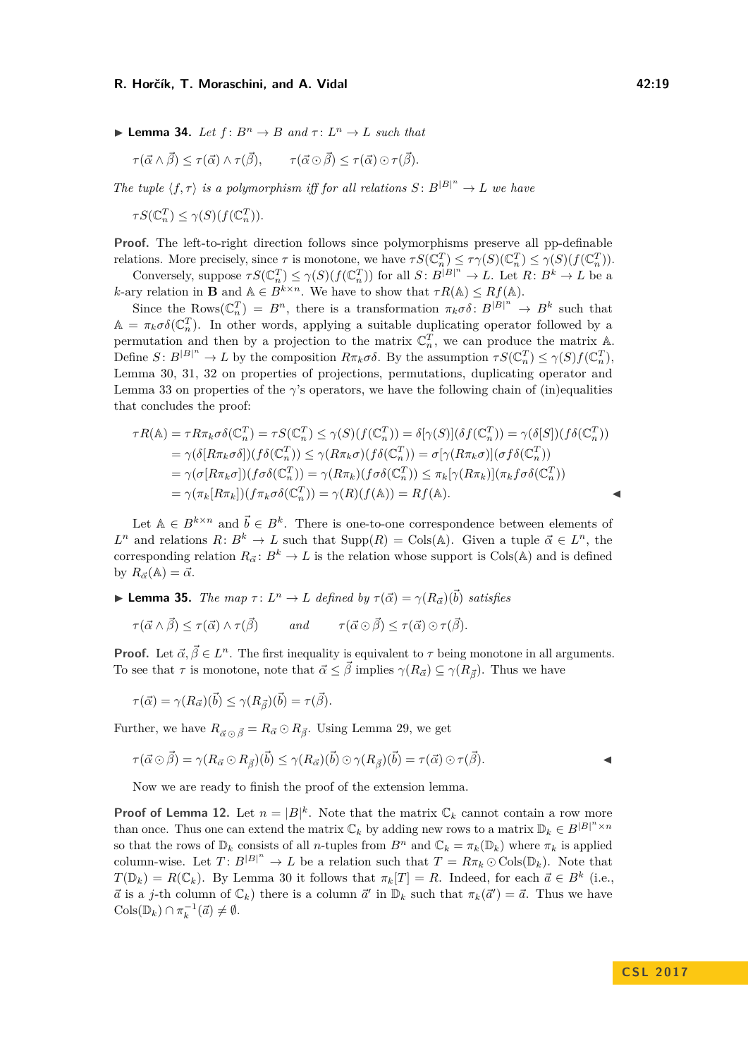#### **R. Horčík, T. Moraschini, and A. Vidal 42:19 12:19 12:19**

<span id="page-18-1"></span>**I Lemma 34.** *Let*  $f: B^n \to B$  *and*  $\tau: L^n \to L$  *such that* 

$$
\tau(\vec{\alpha} \wedge \vec{\beta}) \leq \tau(\vec{\alpha}) \wedge \tau(\vec{\beta}), \qquad \tau(\vec{\alpha} \odot \vec{\beta}) \leq \tau(\vec{\alpha}) \odot \tau(\vec{\beta}).
$$

*The tuple*  $\langle f, \tau \rangle$  *is a polymorphism iff for all relations*  $S: B^{|B|^n} \to L$  *we have* 

 $\tau S(\mathbb{C}_n^T) \leq \gamma(S)(f(\mathbb{C}_n^T)).$ 

**Proof.** The left-to-right direction follows since polymorphisms preserve all pp-definable relations. More precisely, since  $\tau$  is monotone, we have  $\tau S(\mathbb{C}_n^T) \leq \tau \gamma(S)(\mathbb{C}_n^T) \leq \gamma(S)(f(\mathbb{C}_n^T))$ .

Conversely, suppose  $\tau S(\mathbb{C}_n^T) \leq \gamma(S)(f(\mathbb{C}_n^T))$  for all  $S: B^{|B|^n} \to L$ . Let  $R: B^k \to L$  be a *k*-ary relation in **B** and  $A \in B^{k \times n}$ . We have to show that  $\tau R(A) \leq R f(A)$ .

Since the Rows $(\mathbb{C}_n^T) = B^n$ , there is a transformation  $\pi_k \sigma \delta : B^{|B|^n} \to B^k$  such that  $\mathbb{A} = \pi_k \sigma \delta(\mathbb{C}_n^T)$ . In other words, applying a suitable duplicating operator followed by a permutation and then by a projection to the matrix  $\mathbb{C}_n^T$ , we can produce the matrix  $\mathbb{A}$ . Define  $S: B^{|B|^n} \to L$  by the composition  $R\pi_k \sigma \delta$ . By the assumption  $\tau S(\mathbb{C}_n^T) \leq \gamma(S)f(\mathbb{C}_n^T)$ , Lemma [30,](#page-15-0) [31,](#page-15-1) [32](#page-16-1) on properties of projections, permutations, duplicating operator and Lemma [33](#page-17-0) on properties of the  $\gamma$ 's operators, we have the following chain of (in)equalities that concludes the proof:

$$
\tau R(\mathbb{A}) = \tau R \pi_k \sigma \delta(\mathbb{C}_n^T) = \tau S(\mathbb{C}_n^T) \leq \gamma(S)(f(\mathbb{C}_n^T)) = \delta[\gamma(S)](\delta f(\mathbb{C}_n^T)) = \gamma(\delta[S])(f\delta(\mathbb{C}_n^T))
$$
  
\n
$$
= \gamma(\delta[R\pi_k \sigma \delta])(f\delta(\mathbb{C}_n^T)) \leq \gamma(R\pi_k \sigma)(f\delta(\mathbb{C}_n^T)) = \sigma[\gamma(R\pi_k \sigma)](\sigma f\delta(\mathbb{C}_n^T))
$$
  
\n
$$
= \gamma(\sigma[R\pi_k \sigma])(f\sigma \delta(\mathbb{C}_n^T)) = \gamma(R\pi_k)(f\sigma \delta(\mathbb{C}_n^T)) \leq \pi_k[\gamma(R\pi_k)](\pi_k f\sigma \delta(\mathbb{C}_n^T))
$$
  
\n
$$
= \gamma(\pi_k[R\pi_k])(f\pi_k \sigma \delta(\mathbb{C}_n^T)) = \gamma(R)(f(\mathbb{A})) = Rf(\mathbb{A}).
$$

Let  $A \in B^{k \times n}$  and  $\vec{b} \in B^k$ . There is one-to-one correspondence between elements of *L*<sup>*n*</sup> and relations *R*:  $B^k \to L$  such that Supp(*R*) = Cols( $\mathbb{A}$ ). Given a tuple  $\vec{\alpha} \in L^n$ , the corresponding relation  $R_{\vec{\alpha}}: B^k \to L$  is the relation whose support is Cols(A) and is defined by  $R_{\vec{\alpha}}(\mathbb{A}) = \vec{\alpha}.$ 

<span id="page-18-0"></span>**I Lemma 35.** *The map*  $\tau: L^n \to L$  *defined by*  $\tau(\vec{\alpha}) = \gamma(R_{\vec{\alpha}})(\vec{b})$  *satisfies* 

 $\tau(\vec{\alpha} \wedge \vec{\beta}) \leq \tau(\vec{\alpha}) \wedge \tau(\vec{\beta})$  and  $\tau(\vec{\alpha} \odot \vec{\beta}) \leq \tau(\vec{\alpha}) \odot \tau(\vec{\beta}).$ 

**Proof.** Let  $\vec{\alpha}, \vec{\beta} \in L^n$ . The first inequality is equivalent to  $\tau$  being monotone in all arguments. To see that  $\tau$  is monotone, note that  $\vec{\alpha} \leq \vec{\beta}$  implies  $\gamma(R_{\vec{\alpha}}) \subseteq \gamma(R_{\vec{\beta}})$ . Thus we have

 $\tau(\vec{\alpha}) = \gamma(R_{\vec{\alpha}})(\vec{b}) \leq \gamma(R_{\vec{\beta}})(\vec{b}) = \tau(\vec{\beta}).$ 

Further, we have  $R_{\vec{\alpha} \odot \vec{\beta}} = R_{\vec{\alpha}} \odot R_{\vec{\beta}}$ . Using Lemma [29,](#page-14-16) we get

$$
\tau(\vec{\alpha} \odot \vec{\beta}) = \gamma(R_{\vec{\alpha}} \odot R_{\vec{\beta}})(\vec{b}) \leq \gamma(R_{\vec{\alpha}})(\vec{b}) \odot \gamma(R_{\vec{\beta}})(\vec{b}) = \tau(\vec{\alpha}) \odot \tau(\vec{\beta}).
$$

Now we are ready to finish the proof of the extension lemma.

**Proof of Lemma [12.](#page-7-0)** Let  $n = |B|^k$ . Note that the matrix  $\mathbb{C}_k$  cannot contain a row more than once. Thus one can extend the matrix  $\mathbb{C}_k$  by adding new rows to a matrix  $\mathbb{D}_k \in B^{|B|^n \times n}$ so that the rows of  $\mathbb{D}_k$  consists of all *n*-tuples from  $B^n$  and  $\mathbb{C}_k = \pi_k(\mathbb{D}_k)$  where  $\pi_k$  is applied column-wise. Let  $T: B^{|B|^n} \to L$  be a relation such that  $T = R\pi_k \odot \text{Cols}(\mathbb{D}_k)$ . Note that  $T(\mathbb{D}_k) = R(\mathbb{C}_k)$ . By Lemma [30](#page-15-0) it follows that  $\pi_k[T] = R$ . Indeed, for each  $\vec{a} \in B^k$  (i.e.,  $\vec{a}$  is a *j*-th column of  $\mathbb{C}_k$ ) there is a column  $\vec{a}'$  in  $\mathbb{D}_k$  such that  $\pi_k(\vec{a}') = \vec{a}$ . Thus we have  $\text{Cols}(\mathbb{D}_k) \cap \pi_k^{-1}(\vec{a}) \neq \emptyset.$